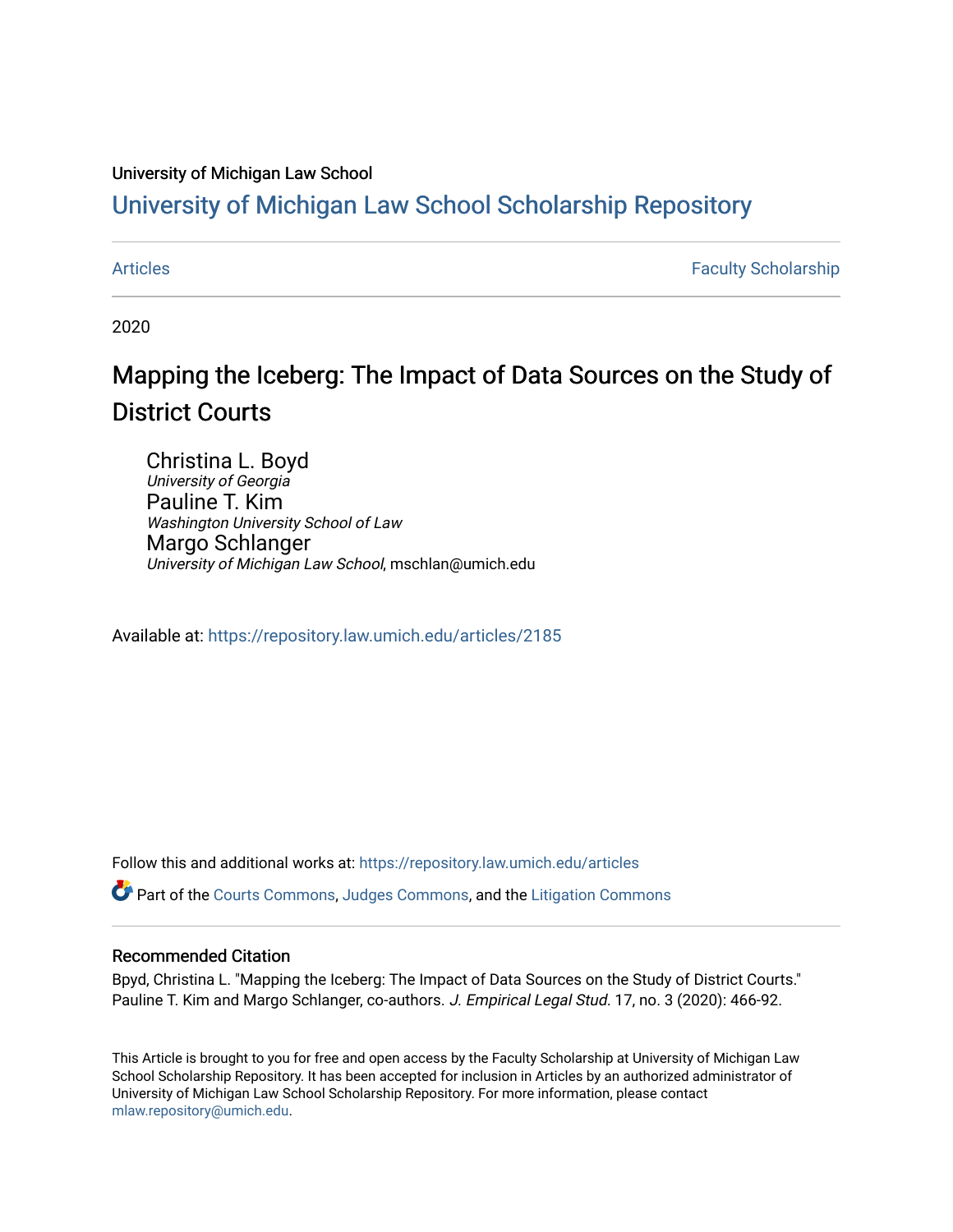## University of Michigan Law School

## [University of Michigan Law School Scholarship Repository](https://repository.law.umich.edu/)

[Articles](https://repository.law.umich.edu/articles) **Faculty Scholarship** Faculty Scholarship

2020

# Mapping the Iceberg: The Impact of Data Sources on the Study of District Courts

Christina L. Boyd University of Georgia Pauline T. Kim Washington University School of Law Margo Schlanger University of Michigan Law School, mschlan@umich.edu

Available at: <https://repository.law.umich.edu/articles/2185>

Follow this and additional works at: [https://repository.law.umich.edu/articles](https://repository.law.umich.edu/articles?utm_source=repository.law.umich.edu%2Farticles%2F2185&utm_medium=PDF&utm_campaign=PDFCoverPages) 

Part of the [Courts Commons,](http://network.bepress.com/hgg/discipline/839?utm_source=repository.law.umich.edu%2Farticles%2F2185&utm_medium=PDF&utm_campaign=PDFCoverPages) [Judges Commons](http://network.bepress.com/hgg/discipline/849?utm_source=repository.law.umich.edu%2Farticles%2F2185&utm_medium=PDF&utm_campaign=PDFCoverPages), and the [Litigation Commons](http://network.bepress.com/hgg/discipline/910?utm_source=repository.law.umich.edu%2Farticles%2F2185&utm_medium=PDF&utm_campaign=PDFCoverPages)

### Recommended Citation

Bpyd, Christina L. "Mapping the Iceberg: The Impact of Data Sources on the Study of District Courts." Pauline T. Kim and Margo Schlanger, co-authors. J. Empirical Legal Stud. 17, no. 3 (2020): 466-92.

This Article is brought to you for free and open access by the Faculty Scholarship at University of Michigan Law School Scholarship Repository. It has been accepted for inclusion in Articles by an authorized administrator of University of Michigan Law School Scholarship Repository. For more information, please contact [mlaw.repository@umich.edu.](mailto:mlaw.repository@umich.edu)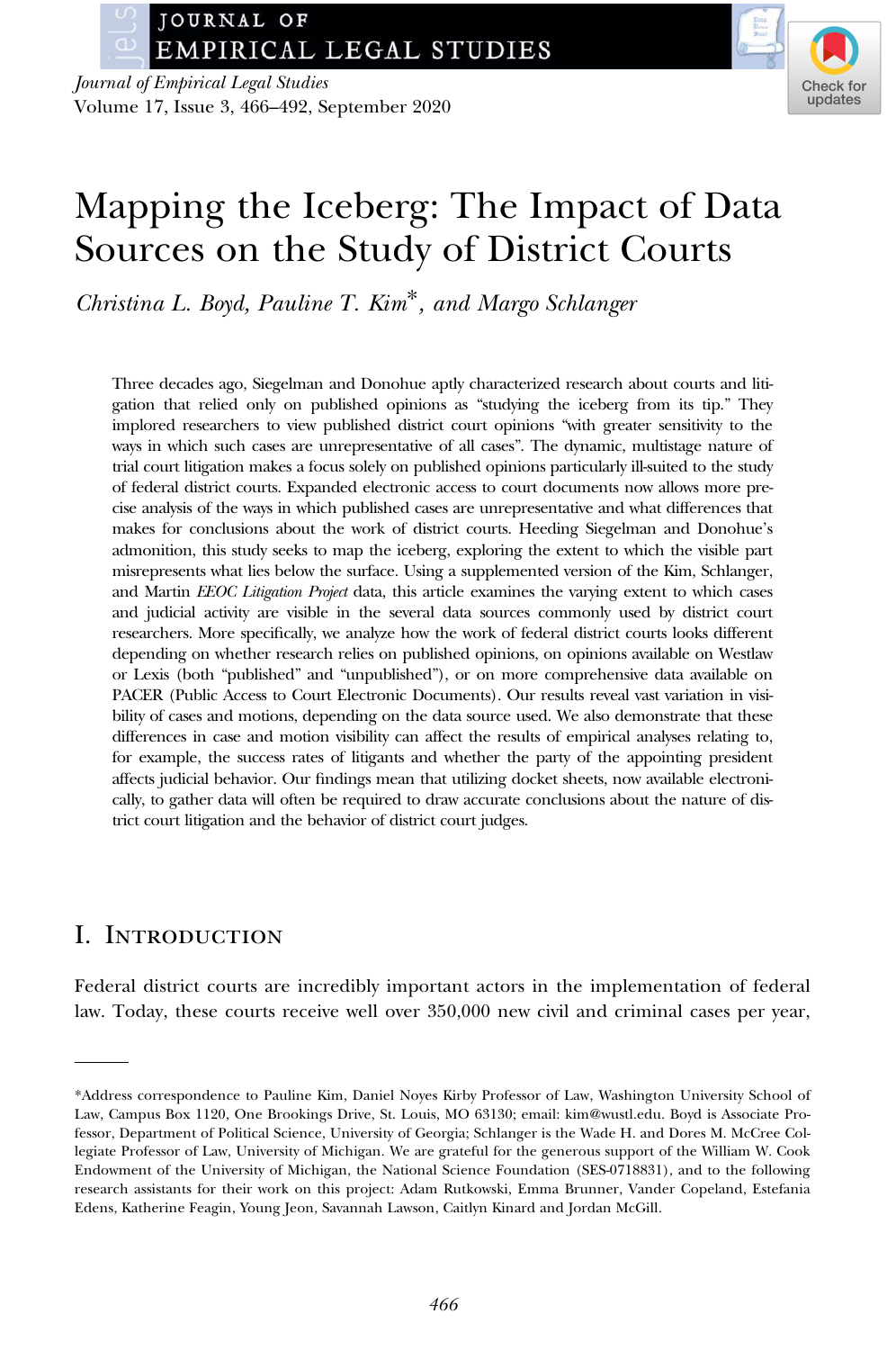JOURNAL OF **EMPIRICAL LEGAL STUDIES** 

Journal of Empirical Legal Studies Volume 17, Issue 3, 466–492, September 2020



## Mapping the Iceberg: The Impact of Data Sources on the Study of District Courts

Christina L. Boyd, Pauline T. Kim\*, and Margo Schlanger

Three decades ago, Siegelman and Donohue aptly characterized research about courts and litigation that relied only on published opinions as "studying the iceberg from its tip." They implored researchers to view published district court opinions "with greater sensitivity to the ways in which such cases are unrepresentative of all cases". The dynamic, multistage nature of trial court litigation makes a focus solely on published opinions particularly ill-suited to the study of federal district courts. Expanded electronic access to court documents now allows more precise analysis of the ways in which published cases are unrepresentative and what differences that makes for conclusions about the work of district courts. Heeding Siegelman and Donohue's admonition, this study seeks to map the iceberg, exploring the extent to which the visible part misrepresents what lies below the surface. Using a supplemented version of the Kim, Schlanger, and Martin EEOC Litigation Project data, this article examines the varying extent to which cases and judicial activity are visible in the several data sources commonly used by district court researchers. More specifically, we analyze how the work of federal district courts looks different depending on whether research relies on published opinions, on opinions available on Westlaw or Lexis (both "published" and "unpublished"), or on more comprehensive data available on PACER (Public Access to Court Electronic Documents). Our results reveal vast variation in visibility of cases and motions, depending on the data source used. We also demonstrate that these differences in case and motion visibility can affect the results of empirical analyses relating to, for example, the success rates of litigants and whether the party of the appointing president affects judicial behavior. Our findings mean that utilizing docket sheets, now available electronically, to gather data will often be required to draw accurate conclusions about the nature of district court litigation and the behavior of district court judges.

## I. Introduction

Federal district courts are incredibly important actors in the implementation of federal law. Today, these courts receive well over 350,000 new civil and criminal cases per year,

<sup>\*</sup>Address correspondence to Pauline Kim, Daniel Noyes Kirby Professor of Law, Washington University School of Law, Campus Box 1120, One Brookings Drive, St. Louis, MO 63130; email: [kim@wustl.edu](mailto:kim@wustl.edu). Boyd is Associate Professor, Department of Political Science, University of Georgia; Schlanger is the Wade H. and Dores M. McCree Collegiate Professor of Law, University of Michigan. We are grateful for the generous support of the William W. Cook Endowment of the University of Michigan, the National Science Foundation (SES-0718831), and to the following research assistants for their work on this project: Adam Rutkowski, Emma Brunner, Vander Copeland, Estefania Edens, Katherine Feagin, Young Jeon, Savannah Lawson, Caitlyn Kinard and Jordan McGill.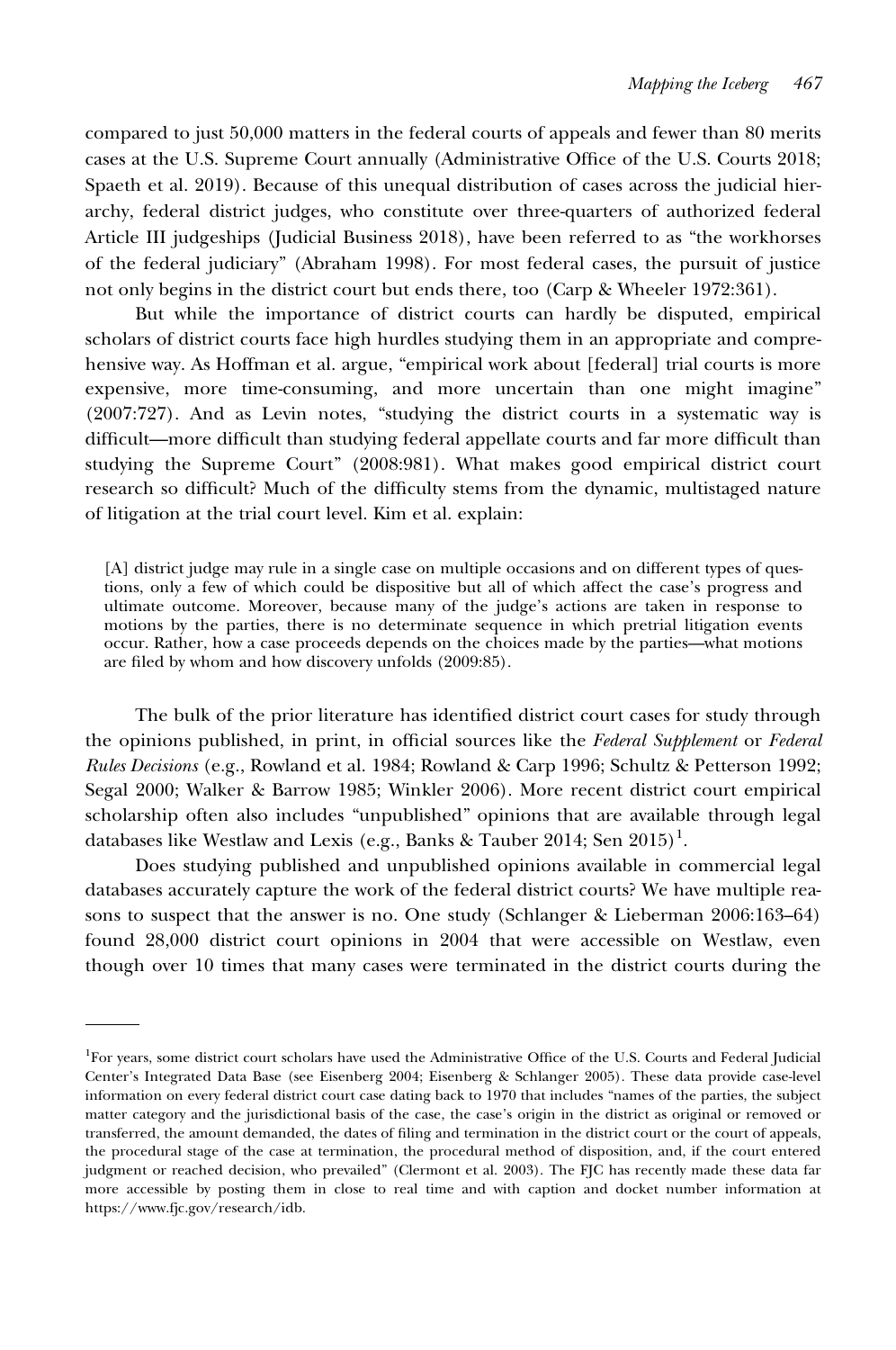compared to just 50,000 matters in the federal courts of appeals and fewer than 80 merits cases at the U.S. Supreme Court annually (Administrative Office of the U.S. Courts 2018; Spaeth et al. 2019). Because of this unequal distribution of cases across the judicial hierarchy, federal district judges, who constitute over three-quarters of authorized federal Article III judgeships (Judicial Business 2018), have been referred to as "the workhorses of the federal judiciary" (Abraham 1998). For most federal cases, the pursuit of justice not only begins in the district court but ends there, too (Carp & Wheeler 1972:361).

But while the importance of district courts can hardly be disputed, empirical scholars of district courts face high hurdles studying them in an appropriate and comprehensive way. As Hoffman et al. argue, "empirical work about [federal] trial courts is more expensive, more time-consuming, and more uncertain than one might imagine" (2007:727). And as Levin notes, "studying the district courts in a systematic way is difficult—more difficult than studying federal appellate courts and far more difficult than studying the Supreme Court" (2008:981). What makes good empirical district court research so difficult? Much of the difficulty stems from the dynamic, multistaged nature of litigation at the trial court level. Kim et al. explain:

[A] district judge may rule in a single case on multiple occasions and on different types of questions, only a few of which could be dispositive but all of which affect the case's progress and ultimate outcome. Moreover, because many of the judge's actions are taken in response to motions by the parties, there is no determinate sequence in which pretrial litigation events occur. Rather, how a case proceeds depends on the choices made by the parties—what motions are filed by whom and how discovery unfolds (2009:85).

The bulk of the prior literature has identified district court cases for study through the opinions published, in print, in official sources like the Federal Supplement or Federal Rules Decisions (e.g., Rowland et al. 1984; Rowland & Carp 1996; Schultz & Petterson 1992; Segal 2000; Walker & Barrow 1985; Winkler 2006). More recent district court empirical scholarship often also includes "unpublished" opinions that are available through legal databases like Westlaw and Lexis (e.g., Banks & Tauber 2014; Sen 2015) $^{\rm l}$ .

Does studying published and unpublished opinions available in commercial legal databases accurately capture the work of the federal district courts? We have multiple reasons to suspect that the answer is no. One study (Schlanger & Lieberman 2006:163–64) found 28,000 district court opinions in 2004 that were accessible on Westlaw, even though over 10 times that many cases were terminated in the district courts during the

<sup>&</sup>lt;sup>1</sup>For years, some district court scholars have used the Administrative Office of the U.S. Courts and Federal Judicial Center's Integrated Data Base (see Eisenberg 2004; Eisenberg & Schlanger 2005). These data provide case-level information on every federal district court case dating back to 1970 that includes "names of the parties, the subject matter category and the jurisdictional basis of the case, the case's origin in the district as original or removed or transferred, the amount demanded, the dates of filing and termination in the district court or the court of appeals, the procedural stage of the case at termination, the procedural method of disposition, and, if the court entered judgment or reached decision, who prevailed" (Clermont et al. 2003). The FJC has recently made these data far more accessible by posting them in close to real time and with caption and docket number information at <https://www.fjc.gov/research/idb>.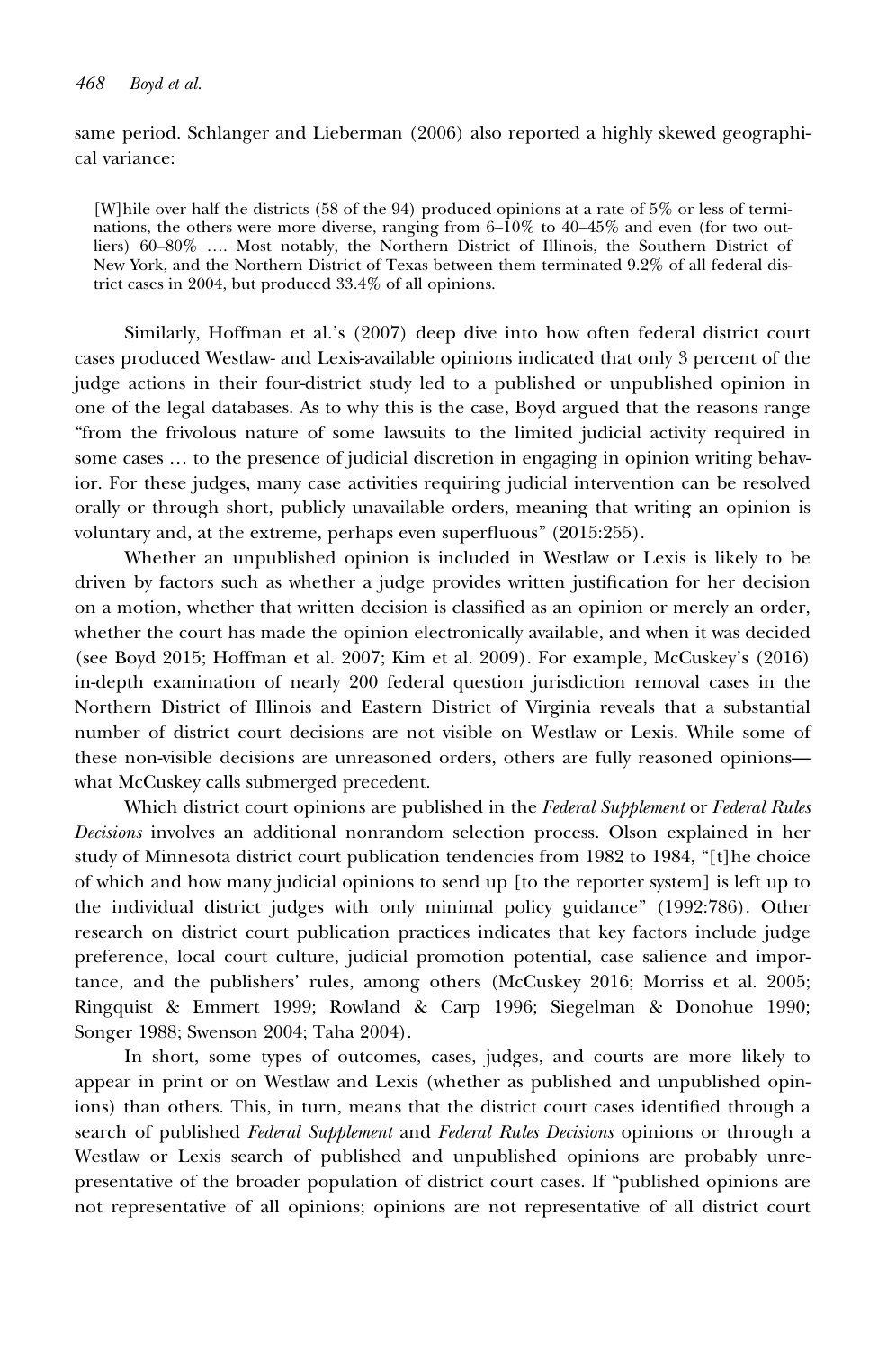same period. Schlanger and Lieberman (2006) also reported a highly skewed geographical variance:

[W]hile over half the districts (58 of the 94) produced opinions at a rate of 5% or less of terminations, the others were more diverse, ranging from  $6-\overline{10\%}$  to  $40-\overline{45\%}$  and even (for two outliers) 60–80% …. Most notably, the Northern District of Illinois, the Southern District of New York, and the Northern District of Texas between them terminated 9.2% of all federal district cases in 2004, but produced 33.4% of all opinions.

Similarly, Hoffman et al.'s (2007) deep dive into how often federal district court cases produced Westlaw- and Lexis-available opinions indicated that only 3 percent of the judge actions in their four-district study led to a published or unpublished opinion in one of the legal databases. As to why this is the case, Boyd argued that the reasons range "from the frivolous nature of some lawsuits to the limited judicial activity required in some cases … to the presence of judicial discretion in engaging in opinion writing behavior. For these judges, many case activities requiring judicial intervention can be resolved orally or through short, publicly unavailable orders, meaning that writing an opinion is voluntary and, at the extreme, perhaps even superfluous" (2015:255).

Whether an unpublished opinion is included in Westlaw or Lexis is likely to be driven by factors such as whether a judge provides written justification for her decision on a motion, whether that written decision is classified as an opinion or merely an order, whether the court has made the opinion electronically available, and when it was decided (see Boyd 2015; Hoffman et al. 2007; Kim et al. 2009). For example, McCuskey's (2016) in-depth examination of nearly 200 federal question jurisdiction removal cases in the Northern District of Illinois and Eastern District of Virginia reveals that a substantial number of district court decisions are not visible on Westlaw or Lexis. While some of these non-visible decisions are unreasoned orders, others are fully reasoned opinions what McCuskey calls submerged precedent.

Which district court opinions are published in the Federal Supplement or Federal Rules Decisions involves an additional nonrandom selection process. Olson explained in her study of Minnesota district court publication tendencies from 1982 to 1984, "[t]he choice of which and how many judicial opinions to send up [to the reporter system] is left up to the individual district judges with only minimal policy guidance" (1992:786). Other research on district court publication practices indicates that key factors include judge preference, local court culture, judicial promotion potential, case salience and importance, and the publishers' rules, among others (McCuskey 2016; Morriss et al. 2005; Ringquist & Emmert 1999; Rowland & Carp 1996; Siegelman & Donohue 1990; Songer 1988; Swenson 2004; Taha 2004).

In short, some types of outcomes, cases, judges, and courts are more likely to appear in print or on Westlaw and Lexis (whether as published and unpublished opinions) than others. This, in turn, means that the district court cases identified through a search of published Federal Supplement and Federal Rules Decisions opinions or through a Westlaw or Lexis search of published and unpublished opinions are probably unrepresentative of the broader population of district court cases. If "published opinions are not representative of all opinions; opinions are not representative of all district court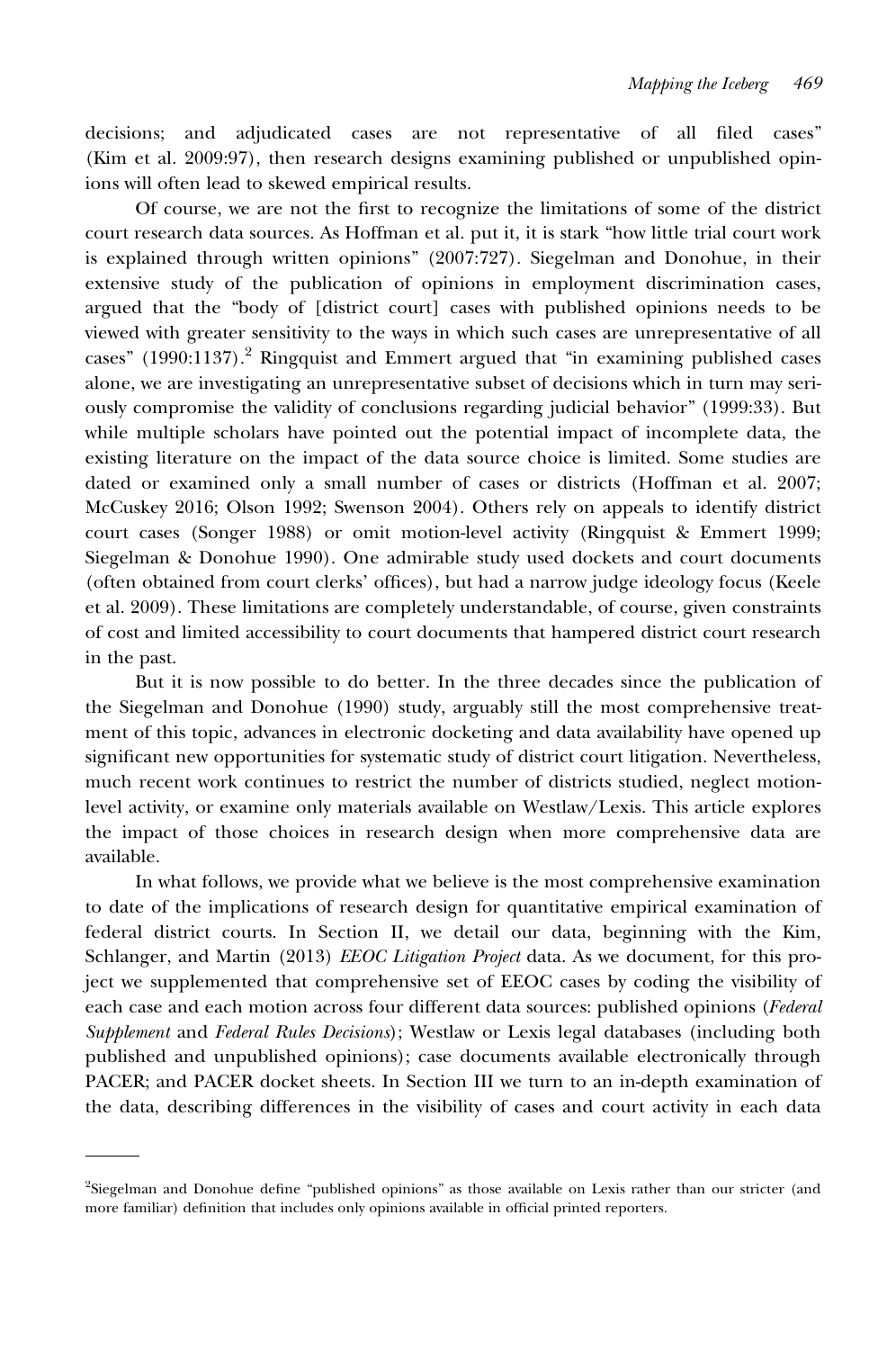decisions; and adjudicated cases are not representative of all filed cases" (Kim et al. 2009:97), then research designs examining published or unpublished opinions will often lead to skewed empirical results.

Of course, we are not the first to recognize the limitations of some of the district court research data sources. As Hoffman et al. put it, it is stark "how little trial court work is explained through written opinions" (2007:727). Siegelman and Donohue, in their extensive study of the publication of opinions in employment discrimination cases, argued that the "body of [district court] cases with published opinions needs to be viewed with greater sensitivity to the ways in which such cases are unrepresentative of all cases" (1990:1137).<sup>2</sup> Ringquist and Emmert argued that "in examining published cases alone, we are investigating an unrepresentative subset of decisions which in turn may seriously compromise the validity of conclusions regarding judicial behavior" (1999:33). But while multiple scholars have pointed out the potential impact of incomplete data, the existing literature on the impact of the data source choice is limited. Some studies are dated or examined only a small number of cases or districts (Hoffman et al. 2007; McCuskey 2016; Olson 1992; Swenson 2004). Others rely on appeals to identify district court cases (Songer 1988) or omit motion-level activity (Ringquist & Emmert 1999; Siegelman & Donohue 1990). One admirable study used dockets and court documents (often obtained from court clerks' offices), but had a narrow judge ideology focus (Keele et al. 2009). These limitations are completely understandable, of course, given constraints of cost and limited accessibility to court documents that hampered district court research in the past.

But it is now possible to do better. In the three decades since the publication of the Siegelman and Donohue (1990) study, arguably still the most comprehensive treatment of this topic, advances in electronic docketing and data availability have opened up significant new opportunities for systematic study of district court litigation. Nevertheless, much recent work continues to restrict the number of districts studied, neglect motionlevel activity, or examine only materials available on Westlaw/Lexis. This article explores the impact of those choices in research design when more comprehensive data are available.

In what follows, we provide what we believe is the most comprehensive examination to date of the implications of research design for quantitative empirical examination of federal district courts. In Section II, we detail our data, beginning with the Kim, Schlanger, and Martin (2013) *EEOC Litigation Project* data. As we document, for this project we supplemented that comprehensive set of EEOC cases by coding the visibility of each case and each motion across four different data sources: published opinions (Federal Supplement and Federal Rules Decisions); Westlaw or Lexis legal databases (including both published and unpublished opinions); case documents available electronically through PACER; and PACER docket sheets. In Section III we turn to an in-depth examination of the data, describing differences in the visibility of cases and court activity in each data

<sup>2</sup> Siegelman and Donohue define "published opinions" as those available on Lexis rather than our stricter (and more familiar) definition that includes only opinions available in official printed reporters.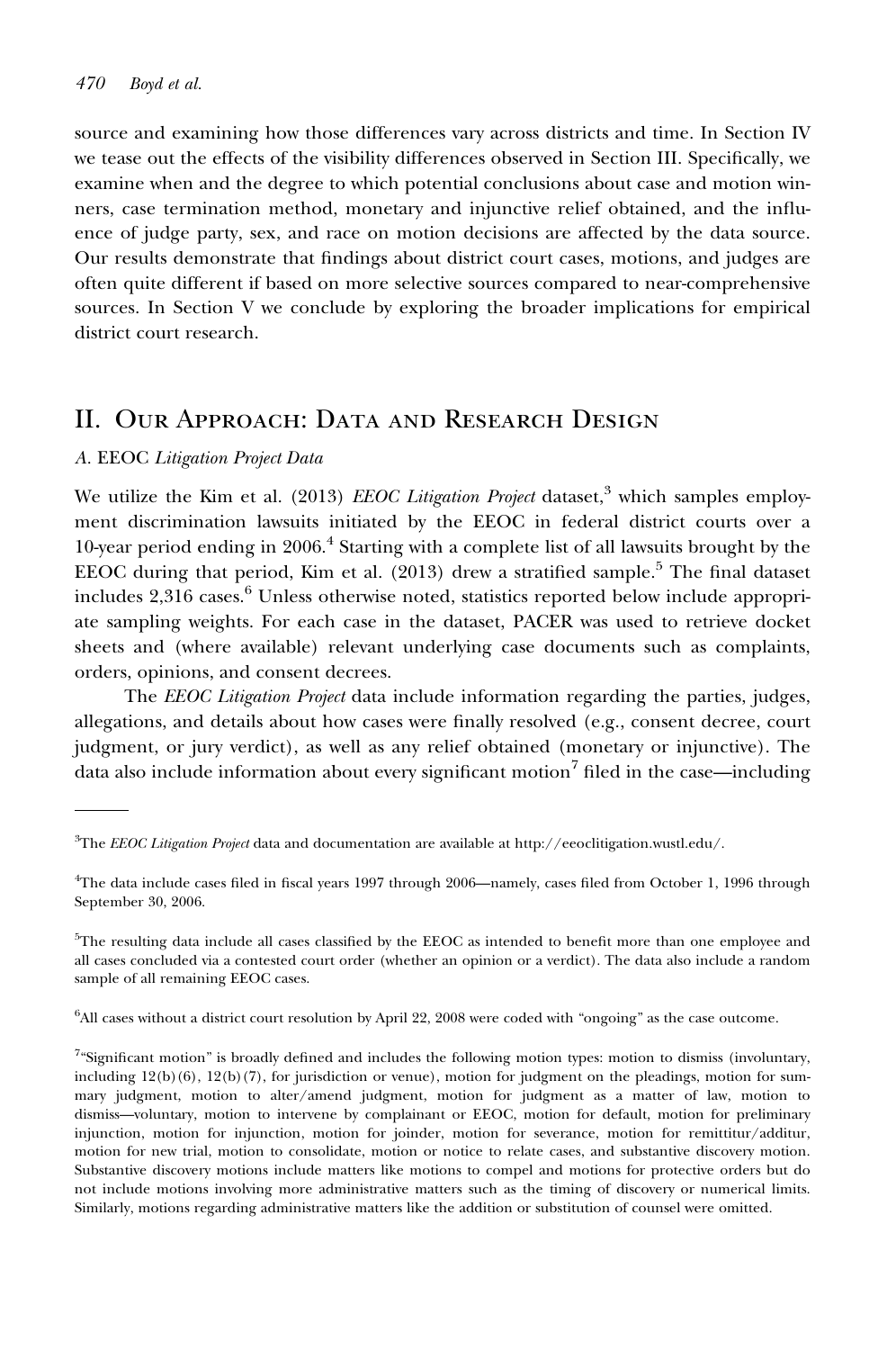source and examining how those differences vary across districts and time. In Section IV we tease out the effects of the visibility differences observed in Section III. Specifically, we examine when and the degree to which potential conclusions about case and motion winners, case termination method, monetary and injunctive relief obtained, and the influence of judge party, sex, and race on motion decisions are affected by the data source. Our results demonstrate that findings about district court cases, motions, and judges are often quite different if based on more selective sources compared to near-comprehensive sources. In Section V we conclude by exploring the broader implications for empirical district court research.

## II. Our Approach: Data and Research Design

### A. EEOC Litigation Project Data

We utilize the Kim et al. (2013) *EEOC Litigation Project* dataset,<sup>3</sup> which samples employment discrimination lawsuits initiated by the EEOC in federal district courts over a 10-year period ending in 2006.<sup>4</sup> Starting with a complete list of all lawsuits brought by the EEOC during that period, Kim et al.  $(2013)$  drew a stratified sample.<sup>5</sup> The final dataset includes  $2,316$  cases.<sup>6</sup> Unless otherwise noted, statistics reported below include appropriate sampling weights. For each case in the dataset, PACER was used to retrieve docket sheets and (where available) relevant underlying case documents such as complaints, orders, opinions, and consent decrees.

The EEOC Litigation Project data include information regarding the parties, judges, allegations, and details about how cases were finally resolved (e.g., consent decree, court judgment, or jury verdict), as well as any relief obtained (monetary or injunctive). The data also include information about every significant motion<sup>7</sup> filed in the case—including

6 All cases without a district court resolution by April 22, 2008 were coded with "ongoing" as the case outcome.

 ${}^{3}\text{The } EEOC\,Litigation\, Project\, data$  and documentation are available at [http://eeoclitigation.wustl.edu/.](http://eeoclitigation.wustl.edu/)

<sup>4</sup> The data include cases filed in fiscal years 1997 through 2006—namely, cases filed from October 1, 1996 through September 30, 2006.

<sup>5</sup> The resulting data include all cases classified by the EEOC as intended to benefit more than one employee and all cases concluded via a contested court order (whether an opinion or a verdict). The data also include a random sample of all remaining EEOC cases.

<sup>&</sup>lt;sup>7</sup>"Significant motion" is broadly defined and includes the following motion types: motion to dismiss (involuntary, including 12(b)(6), 12(b)(7), for jurisdiction or venue), motion for judgment on the pleadings, motion for summary judgment, motion to alter/amend judgment, motion for judgment as a matter of law, motion to dismiss—voluntary, motion to intervene by complainant or EEOC, motion for default, motion for preliminary injunction, motion for injunction, motion for joinder, motion for severance, motion for remittitur/additur, motion for new trial, motion to consolidate, motion or notice to relate cases, and substantive discovery motion. Substantive discovery motions include matters like motions to compel and motions for protective orders but do not include motions involving more administrative matters such as the timing of discovery or numerical limits. Similarly, motions regarding administrative matters like the addition or substitution of counsel were omitted.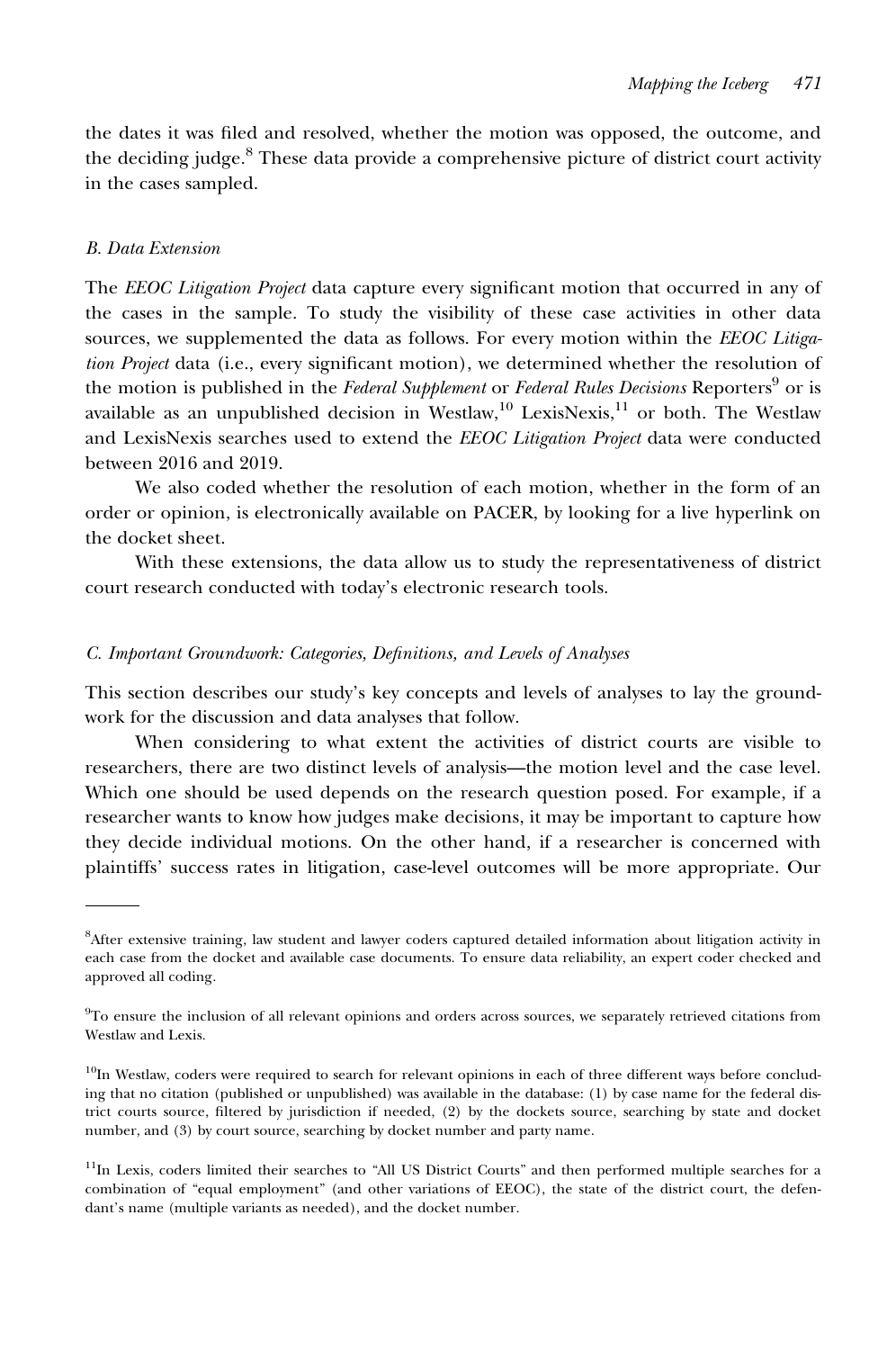the dates it was filed and resolved, whether the motion was opposed, the outcome, and the deciding judge.<sup>8</sup> These data provide a comprehensive picture of district court activity in the cases sampled.

#### B. Data Extension

The EEOC Litigation Project data capture every significant motion that occurred in any of the cases in the sample. To study the visibility of these case activities in other data sources, we supplemented the data as follows. For every motion within the EEOC Litigation Project data (i.e., every significant motion), we determined whether the resolution of the motion is published in the Federal Supplement or Federal Rules Decisions Reporters<sup>9</sup> or is available as an unpublished decision in Westlaw, $^{10}$  LexisNexis, $^{11}$  or both. The Westlaw and LexisNexis searches used to extend the EEOC Litigation Project data were conducted between 2016 and 2019.

We also coded whether the resolution of each motion, whether in the form of an order or opinion, is electronically available on PACER, by looking for a live hyperlink on the docket sheet.

With these extensions, the data allow us to study the representativeness of district court research conducted with today's electronic research tools.

#### C. Important Groundwork: Categories, Definitions, and Levels of Analyses

This section describes our study's key concepts and levels of analyses to lay the groundwork for the discussion and data analyses that follow.

When considering to what extent the activities of district courts are visible to researchers, there are two distinct levels of analysis—the motion level and the case level. Which one should be used depends on the research question posed. For example, if a researcher wants to know how judges make decisions, it may be important to capture how they decide individual motions. On the other hand, if a researcher is concerned with plaintiffs' success rates in litigation, case-level outcomes will be more appropriate. Our

<sup>8</sup> After extensive training, law student and lawyer coders captured detailed information about litigation activity in each case from the docket and available case documents. To ensure data reliability, an expert coder checked and approved all coding.

<sup>&</sup>lt;sup>9</sup>To ensure the inclusion of all relevant opinions and orders across sources, we separately retrieved citations from Westlaw and Lexis.

 $10$ In Westlaw, coders were required to search for relevant opinions in each of three different ways before concluding that no citation (published or unpublished) was available in the database: (1) by case name for the federal district courts source, filtered by jurisdiction if needed, (2) by the dockets source, searching by state and docket number, and (3) by court source, searching by docket number and party name.

<sup>&</sup>lt;sup>11</sup>In Lexis, coders limited their searches to "All US District Courts" and then performed multiple searches for a combination of "equal employment" (and other variations of EEOC), the state of the district court, the defendant's name (multiple variants as needed), and the docket number.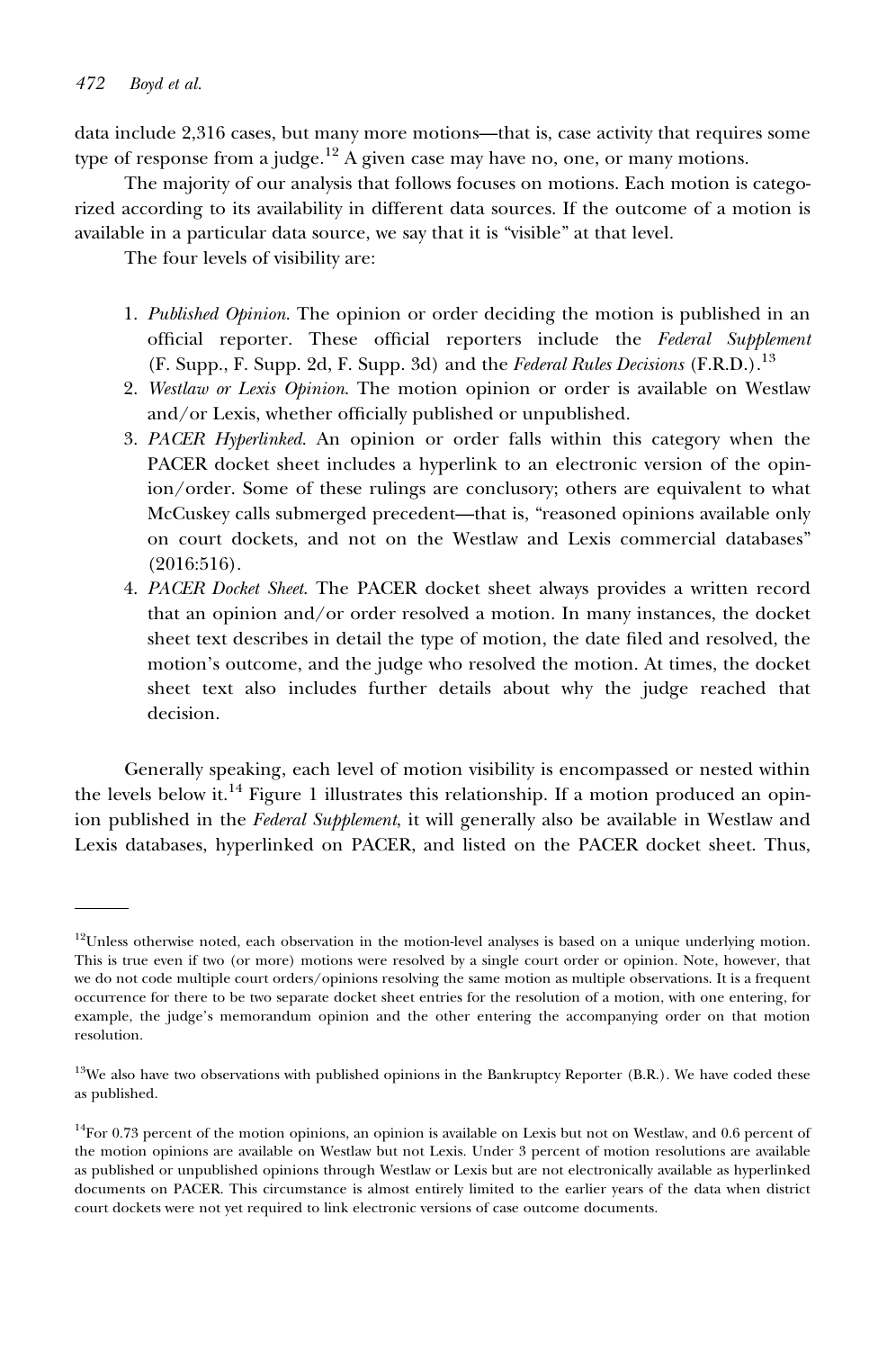#### 472 Boyd et al.

data include 2,316 cases, but many more motions—that is, case activity that requires some type of response from a judge.<sup>12</sup> A given case may have no, one, or many motions.

The majority of our analysis that follows focuses on motions. Each motion is categorized according to its availability in different data sources. If the outcome of a motion is available in a particular data source, we say that it is "visible" at that level.

The four levels of visibility are:

- 1. Published Opinion. The opinion or order deciding the motion is published in an official reporter. These official reporters include the Federal Supplement (F. Supp., F. Supp. 2d, F. Supp. 3d) and the Federal Rules Decisions (F.R.D.).<sup>13</sup>
- 2. Westlaw or Lexis Opinion. The motion opinion or order is available on Westlaw and/or Lexis, whether officially published or unpublished.
- 3. PACER Hyperlinked. An opinion or order falls within this category when the PACER docket sheet includes a hyperlink to an electronic version of the opinion/order. Some of these rulings are conclusory; others are equivalent to what McCuskey calls submerged precedent—that is, "reasoned opinions available only on court dockets, and not on the Westlaw and Lexis commercial databases" (2016:516).
- 4. PACER Docket Sheet. The PACER docket sheet always provides a written record that an opinion and/or order resolved a motion. In many instances, the docket sheet text describes in detail the type of motion, the date filed and resolved, the motion's outcome, and the judge who resolved the motion. At times, the docket sheet text also includes further details about why the judge reached that decision.

Generally speaking, each level of motion visibility is encompassed or nested within the levels below it.<sup>14</sup> Figure 1 illustrates this relationship. If a motion produced an opinion published in the *Federal Supplement*, it will generally also be available in Westlaw and Lexis databases, hyperlinked on PACER, and listed on the PACER docket sheet. Thus,

<sup>&</sup>lt;sup>12</sup>Unless otherwise noted, each observation in the motion-level analyses is based on a unique underlying motion. This is true even if two (or more) motions were resolved by a single court order or opinion. Note, however, that we do not code multiple court orders/opinions resolving the same motion as multiple observations. It is a frequent occurrence for there to be two separate docket sheet entries for the resolution of a motion, with one entering, for example, the judge's memorandum opinion and the other entering the accompanying order on that motion resolution.

<sup>&</sup>lt;sup>13</sup>We also have two observations with published opinions in the Bankruptcy Reporter (B.R.). We have coded these as published.

 $14$ For 0.73 percent of the motion opinions, an opinion is available on Lexis but not on Westlaw, and 0.6 percent of the motion opinions are available on Westlaw but not Lexis. Under 3 percent of motion resolutions are available as published or unpublished opinions through Westlaw or Lexis but are not electronically available as hyperlinked documents on PACER. This circumstance is almost entirely limited to the earlier years of the data when district court dockets were not yet required to link electronic versions of case outcome documents.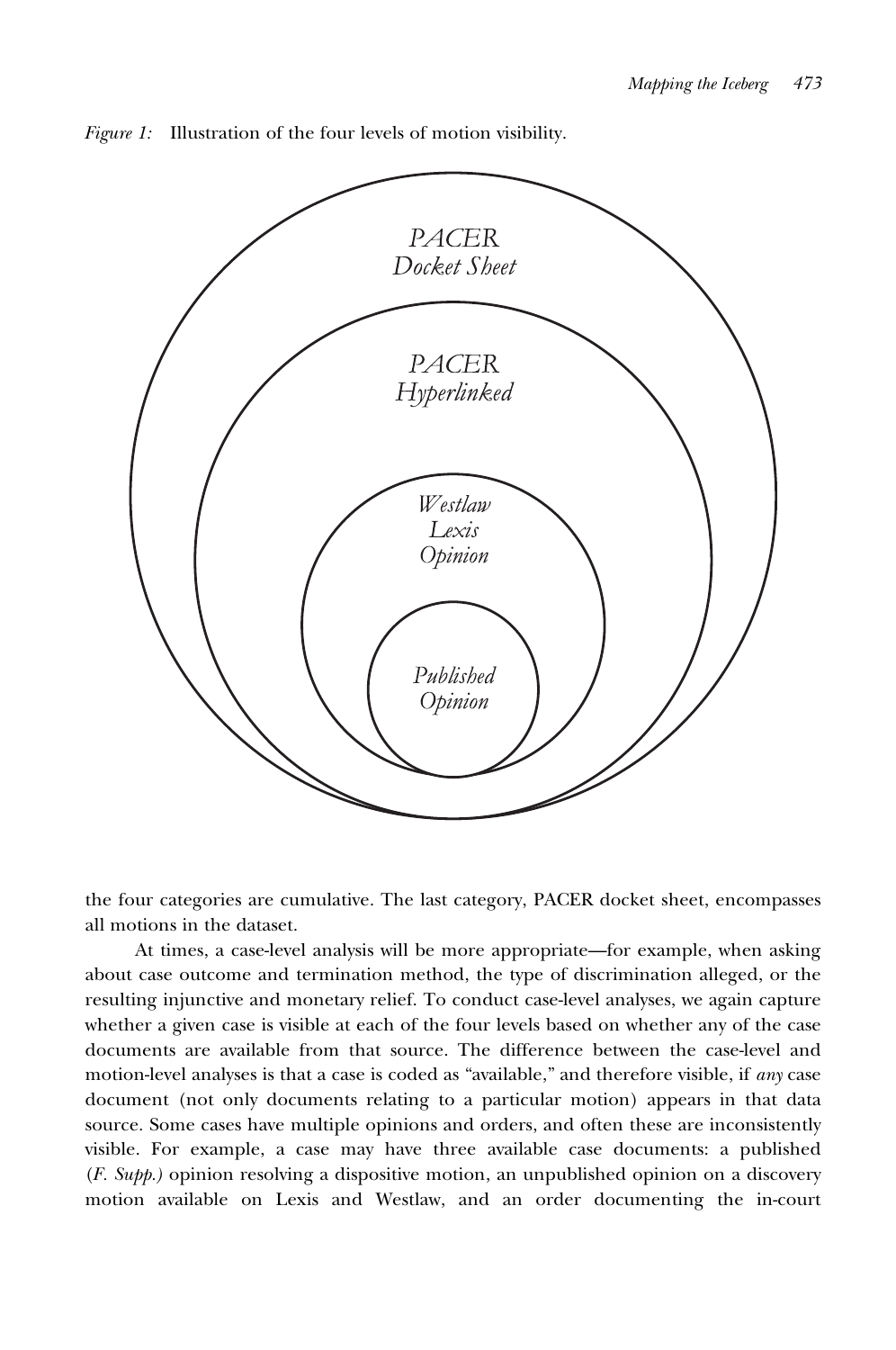

Figure 1: Illustration of the four levels of motion visibility.

the four categories are cumulative. The last category, PACER docket sheet, encompasses all motions in the dataset.

At times, a case-level analysis will be more appropriate—for example, when asking about case outcome and termination method, the type of discrimination alleged, or the resulting injunctive and monetary relief. To conduct case-level analyses, we again capture whether a given case is visible at each of the four levels based on whether any of the case documents are available from that source. The difference between the case-level and motion-level analyses is that a case is coded as "available," and therefore visible, if any case document (not only documents relating to a particular motion) appears in that data source. Some cases have multiple opinions and orders, and often these are inconsistently visible. For example, a case may have three available case documents: a published  $(F. Supp.)$  opinion resolving a dispositive motion, an unpublished opinion on a discovery motion available on Lexis and Westlaw, and an order documenting the in-court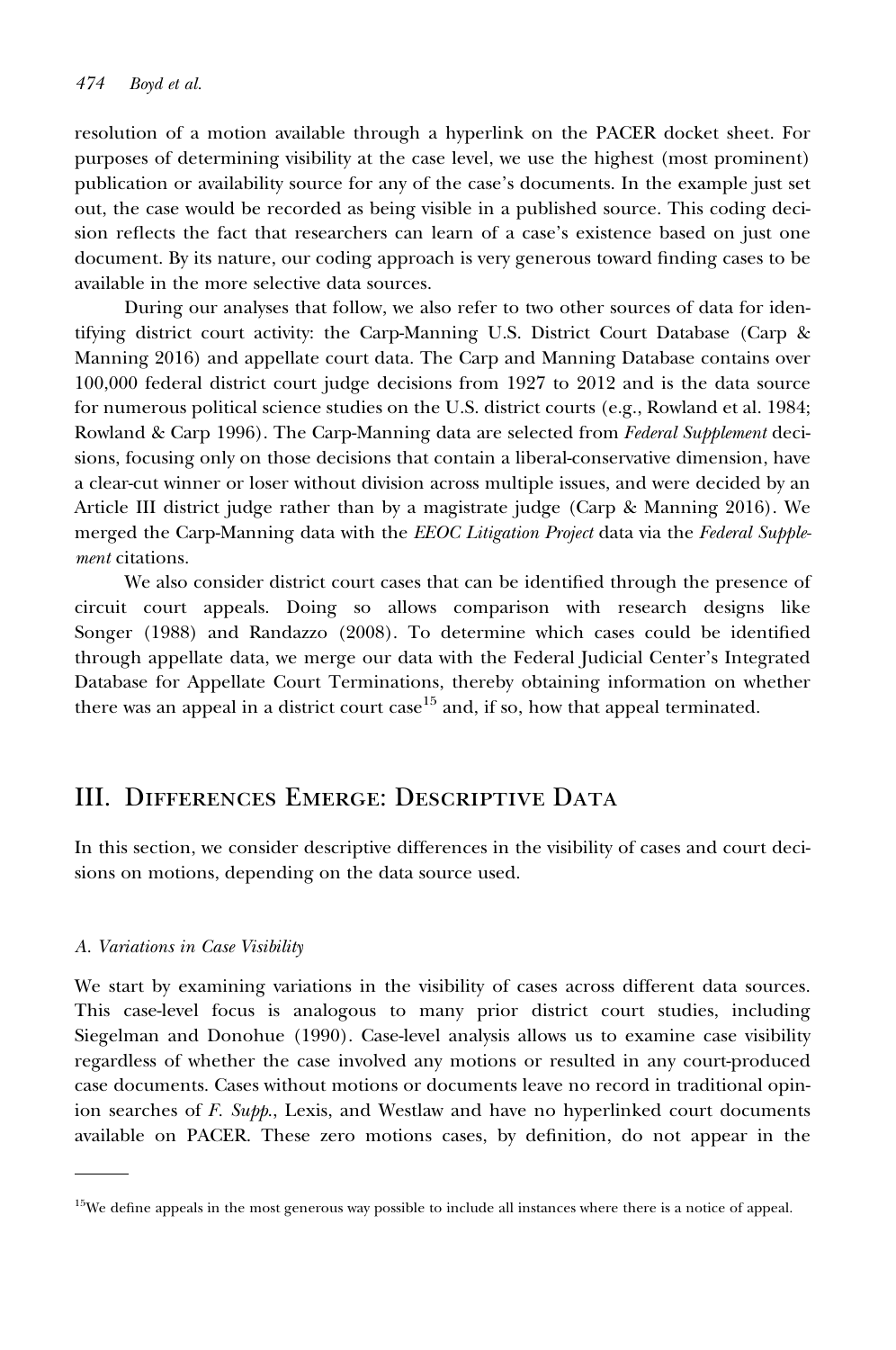resolution of a motion available through a hyperlink on the PACER docket sheet. For purposes of determining visibility at the case level, we use the highest (most prominent) publication or availability source for any of the case's documents. In the example just set out, the case would be recorded as being visible in a published source. This coding decision reflects the fact that researchers can learn of a case's existence based on just one document. By its nature, our coding approach is very generous toward finding cases to be available in the more selective data sources.

During our analyses that follow, we also refer to two other sources of data for identifying district court activity: the Carp-Manning U.S. District Court Database (Carp & Manning 2016) and appellate court data. The Carp and Manning Database contains over 100,000 federal district court judge decisions from 1927 to 2012 and is the data source for numerous political science studies on the U.S. district courts (e.g., Rowland et al. 1984; Rowland & Carp 1996). The Carp-Manning data are selected from *Federal Supplement* decisions, focusing only on those decisions that contain a liberal-conservative dimension, have a clear-cut winner or loser without division across multiple issues, and were decided by an Article III district judge rather than by a magistrate judge (Carp & Manning 2016). We merged the Carp-Manning data with the *EEOC Litigation Project* data via the Federal Supplement citations.

We also consider district court cases that can be identified through the presence of circuit court appeals. Doing so allows comparison with research designs like Songer (1988) and Randazzo (2008). To determine which cases could be identified through appellate data, we merge our data with the Federal Judicial Center's Integrated Database for Appellate Court Terminations, thereby obtaining information on whether there was an appeal in a district court case<sup>15</sup> and, if so, how that appeal terminated.

## III. Differences Emerge: Descriptive Data

In this section, we consider descriptive differences in the visibility of cases and court decisions on motions, depending on the data source used.

#### A. Variations in Case Visibility

We start by examining variations in the visibility of cases across different data sources. This case-level focus is analogous to many prior district court studies, including Siegelman and Donohue (1990). Case-level analysis allows us to examine case visibility regardless of whether the case involved any motions or resulted in any court-produced case documents. Cases without motions or documents leave no record in traditional opinion searches of  $F.$  Supp., Lexis, and Westlaw and have no hyperlinked court documents available on PACER. These zero motions cases, by definition, do not appear in the

<sup>&</sup>lt;sup>15</sup>We define appeals in the most generous way possible to include all instances where there is a notice of appeal.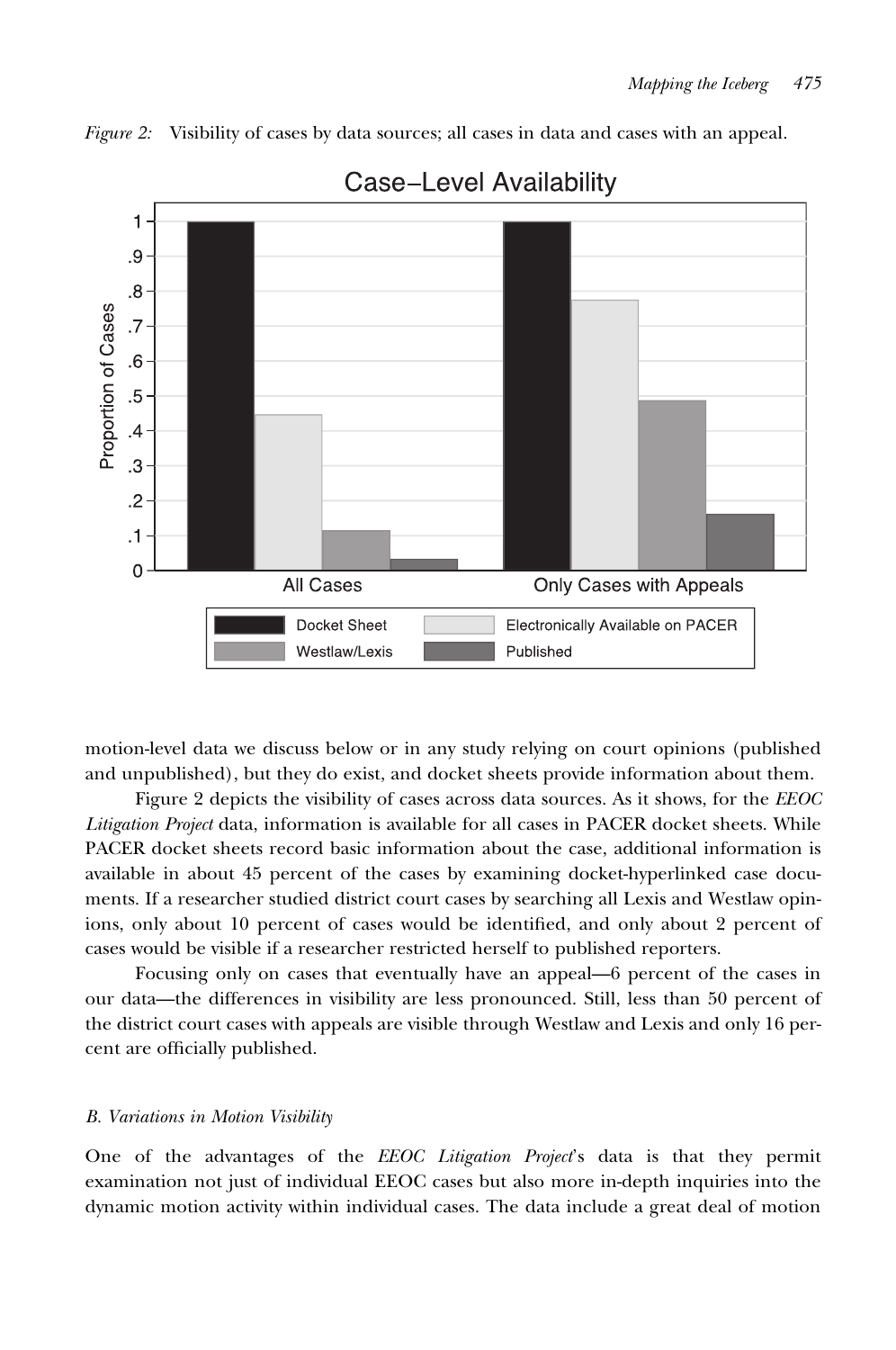Figure 2: Visibility of cases by data sources; all cases in data and cases with an appeal.



## **Case-Level Availability**

motion-level data we discuss below or in any study relying on court opinions (published and unpublished), but they do exist, and docket sheets provide information about them.

Figure 2 depicts the visibility of cases across data sources. As it shows, for the EEOC Litigation Project data, information is available for all cases in PACER docket sheets. While PACER docket sheets record basic information about the case, additional information is available in about 45 percent of the cases by examining docket-hyperlinked case documents. If a researcher studied district court cases by searching all Lexis and Westlaw opinions, only about 10 percent of cases would be identified, and only about 2 percent of cases would be visible if a researcher restricted herself to published reporters.

Focusing only on cases that eventually have an appeal—6 percent of the cases in our data—the differences in visibility are less pronounced. Still, less than 50 percent of the district court cases with appeals are visible through Westlaw and Lexis and only 16 percent are officially published.

#### B. Variations in Motion Visibility

One of the advantages of the EEOC Litigation Project's data is that they permit examination not just of individual EEOC cases but also more in-depth inquiries into the dynamic motion activity within individual cases. The data include a great deal of motion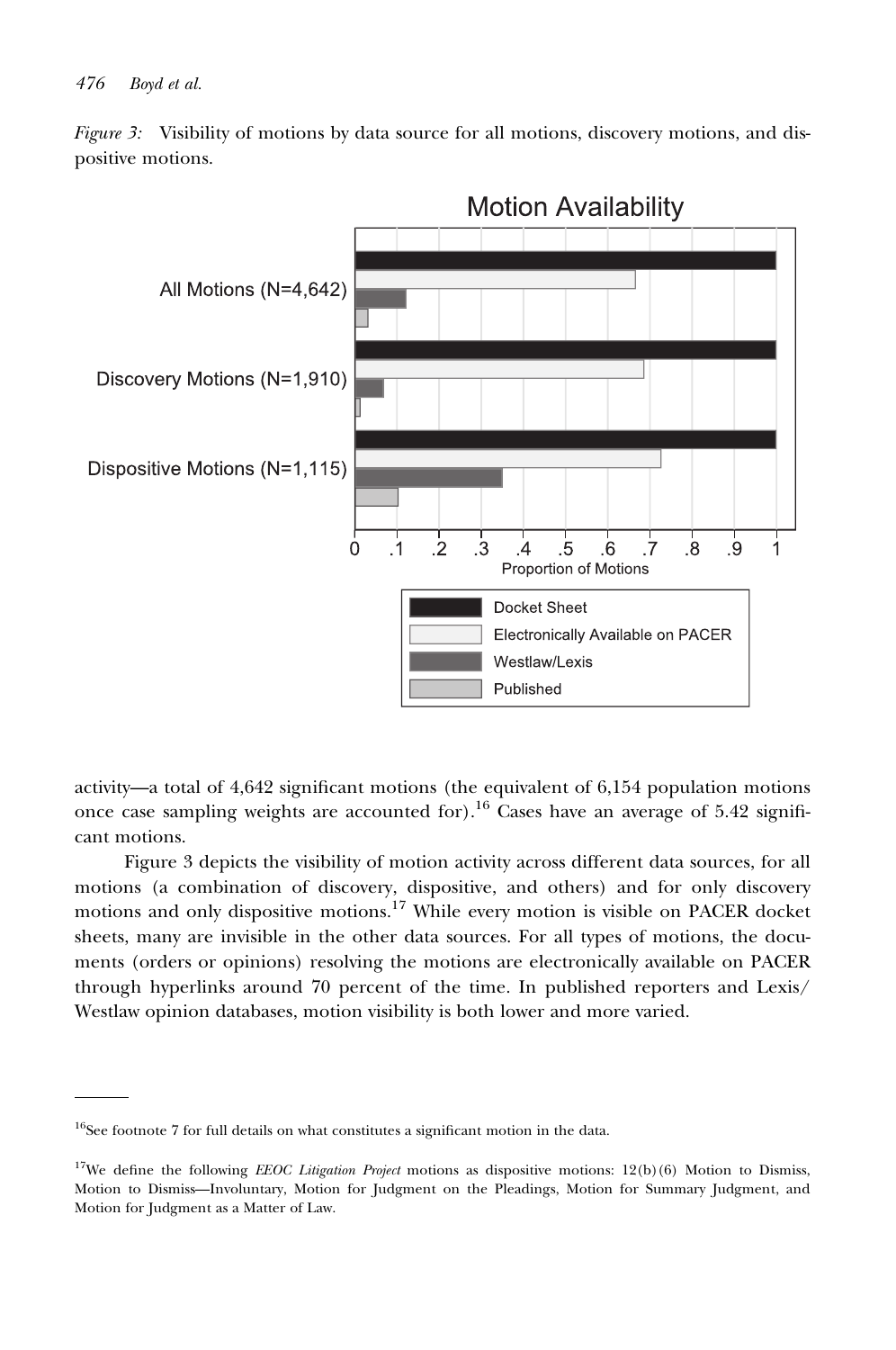

Figure 3: Visibility of motions by data source for all motions, discovery motions, and dispositive motions.

activity—a total of 4,642 significant motions (the equivalent of 6,154 population motions once case sampling weights are accounted for).<sup>16</sup> Cases have an average of 5.42 significant motions.

Figure 3 depicts the visibility of motion activity across different data sources, for all motions (a combination of discovery, dispositive, and others) and for only discovery motions and only dispositive motions.17 While every motion is visible on PACER docket sheets, many are invisible in the other data sources. For all types of motions, the documents (orders or opinions) resolving the motions are electronically available on PACER through hyperlinks around 70 percent of the time. In published reporters and Lexis/ Westlaw opinion databases, motion visibility is both lower and more varied.

<sup>&</sup>lt;sup>16</sup>See footnote 7 for full details on what constitutes a significant motion in the data.

<sup>&</sup>lt;sup>17</sup>We define the following *EEOC Litigation Project* motions as dispositive motions:  $12(b)(6)$  Motion to Dismiss, Motion to Dismiss—Involuntary, Motion for Judgment on the Pleadings, Motion for Summary Judgment, and Motion for Judgment as a Matter of Law.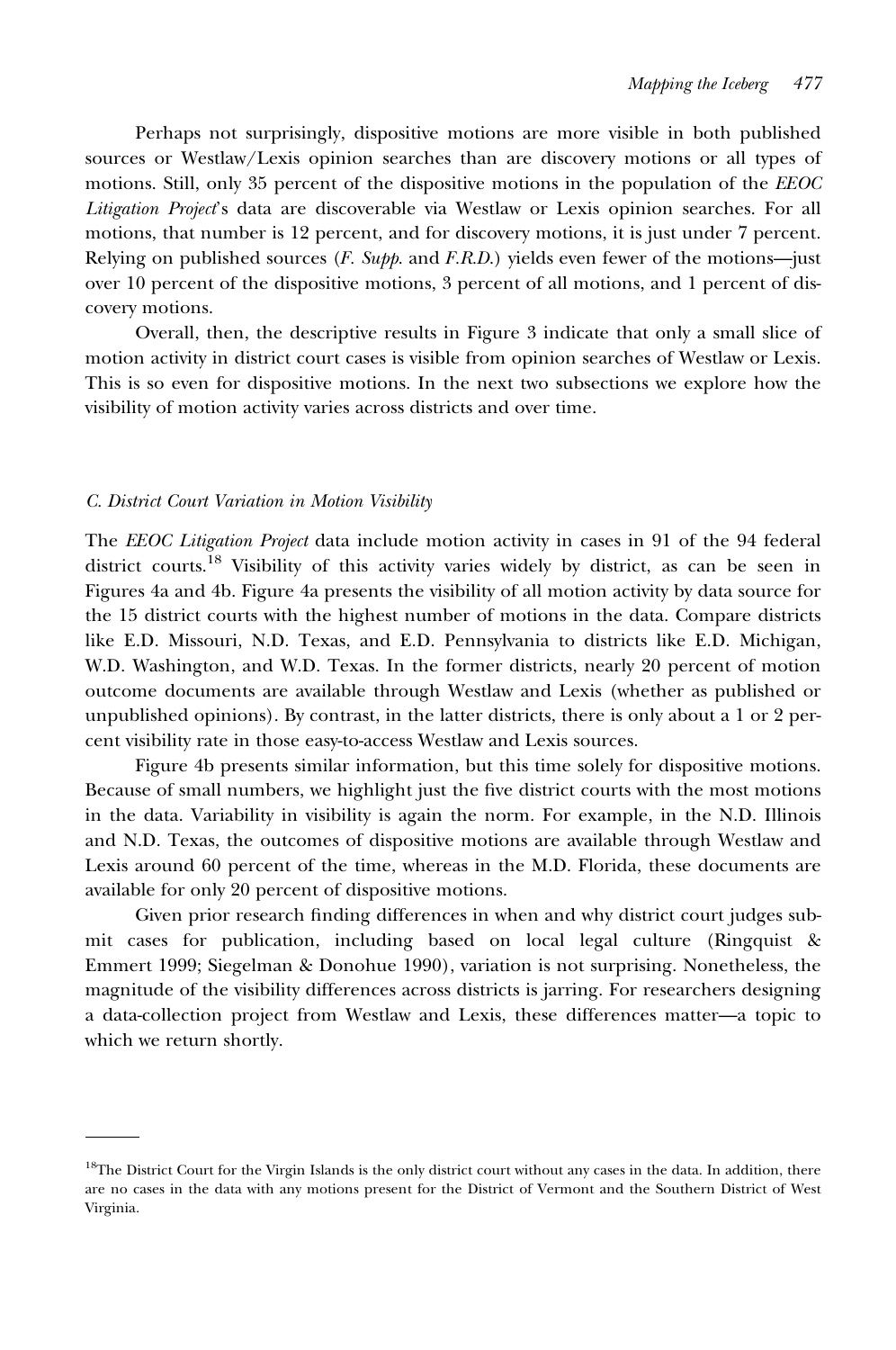Perhaps not surprisingly, dispositive motions are more visible in both published sources or Westlaw/Lexis opinion searches than are discovery motions or all types of motions. Still, only 35 percent of the dispositive motions in the population of the EEOC Litigation Project's data are discoverable via Westlaw or Lexis opinion searches. For all motions, that number is 12 percent, and for discovery motions, it is just under 7 percent. Relying on published sources  $(F. \text{Supp. and } F.R.D.)$  yields even fewer of the motions—just over 10 percent of the dispositive motions, 3 percent of all motions, and 1 percent of discovery motions.

Overall, then, the descriptive results in Figure 3 indicate that only a small slice of motion activity in district court cases is visible from opinion searches of Westlaw or Lexis. This is so even for dispositive motions. In the next two subsections we explore how the visibility of motion activity varies across districts and over time.

#### C. District Court Variation in Motion Visibility

The EEOC Litigation Project data include motion activity in cases in 91 of the 94 federal district courts.<sup>18</sup> Visibility of this activity varies widely by district, as can be seen in Figures 4a and 4b. Figure 4a presents the visibility of all motion activity by data source for the 15 district courts with the highest number of motions in the data. Compare districts like E.D. Missouri, N.D. Texas, and E.D. Pennsylvania to districts like E.D. Michigan, W.D. Washington, and W.D. Texas. In the former districts, nearly 20 percent of motion outcome documents are available through Westlaw and Lexis (whether as published or unpublished opinions). By contrast, in the latter districts, there is only about a 1 or 2 percent visibility rate in those easy-to-access Westlaw and Lexis sources.

Figure 4b presents similar information, but this time solely for dispositive motions. Because of small numbers, we highlight just the five district courts with the most motions in the data. Variability in visibility is again the norm. For example, in the N.D. Illinois and N.D. Texas, the outcomes of dispositive motions are available through Westlaw and Lexis around 60 percent of the time, whereas in the M.D. Florida, these documents are available for only 20 percent of dispositive motions.

Given prior research finding differences in when and why district court judges submit cases for publication, including based on local legal culture (Ringquist & Emmert 1999; Siegelman & Donohue 1990), variation is not surprising. Nonetheless, the magnitude of the visibility differences across districts is jarring. For researchers designing a data-collection project from Westlaw and Lexis, these differences matter—a topic to which we return shortly.

<sup>&</sup>lt;sup>18</sup>The District Court for the Virgin Islands is the only district court without any cases in the data. In addition, there are no cases in the data with any motions present for the District of Vermont and the Southern District of West Virginia.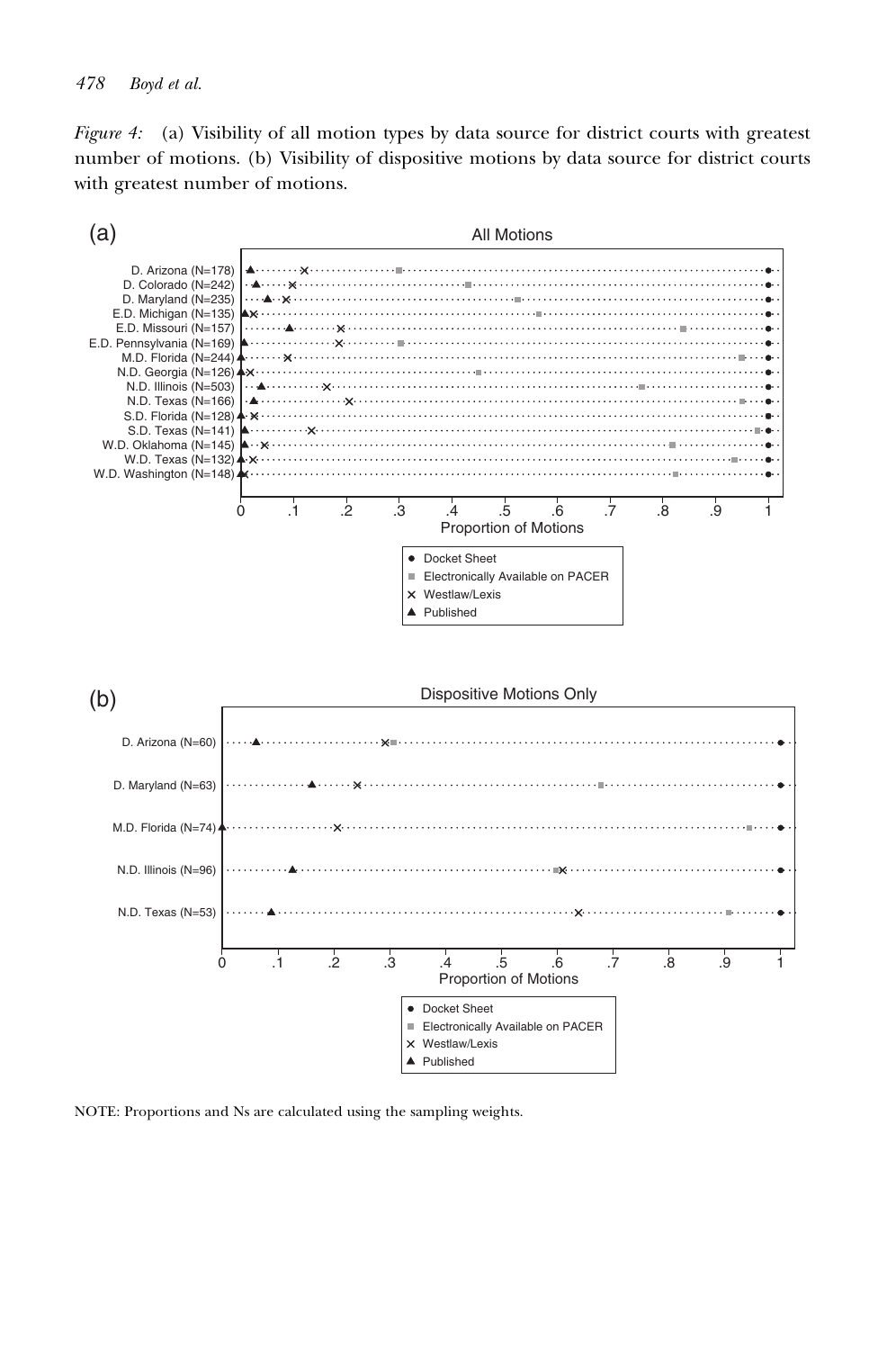Figure 4: (a) Visibility of all motion types by data source for district courts with greatest number of motions. (b) Visibility of dispositive motions by data source for district courts with greatest number of motions.



NOTE: Proportions and Ns are calculated using the sampling weights.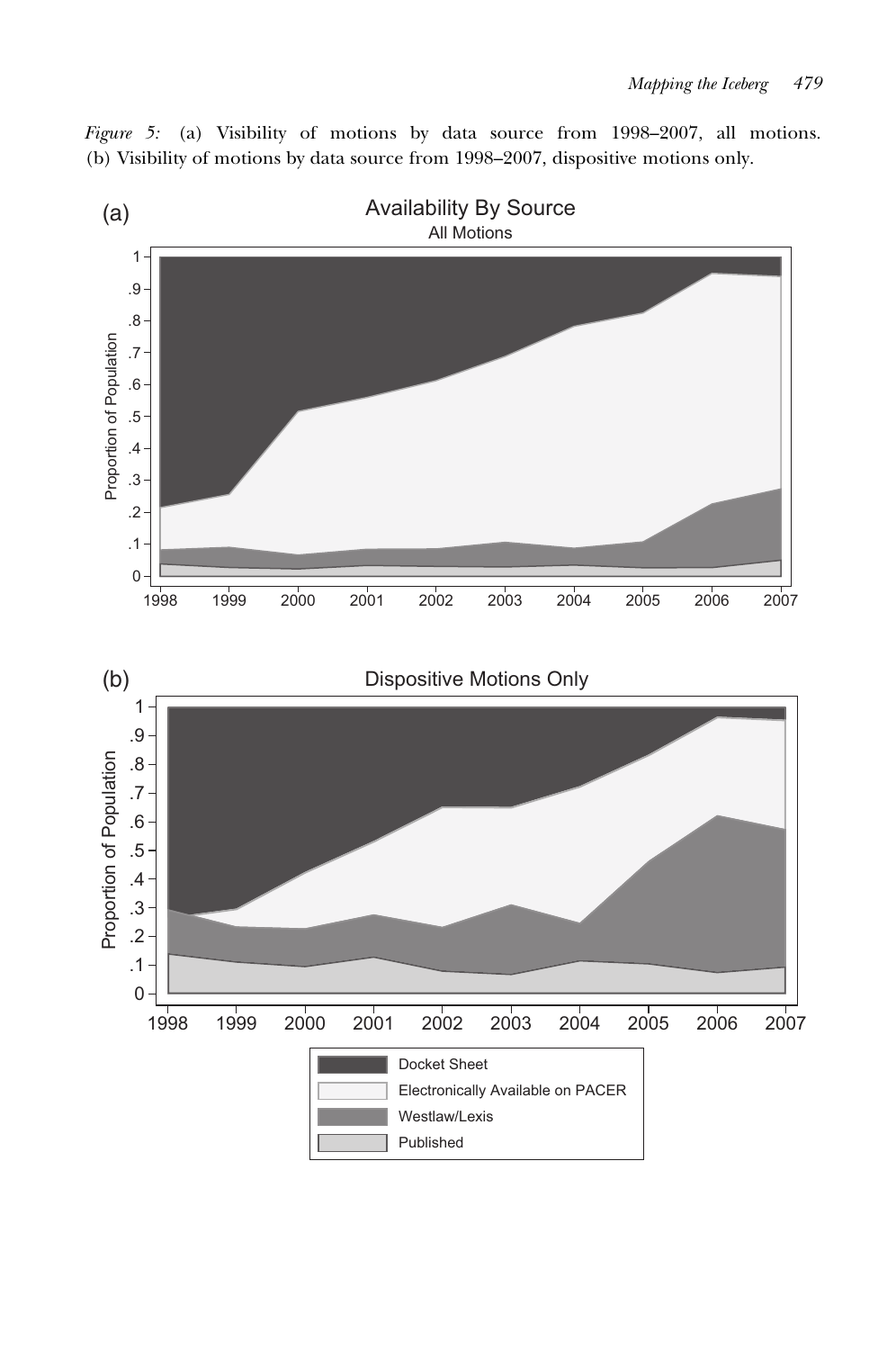

Figure 5: (a) Visibility of motions by data source from 1998–2007, all motions. (b) Visibility of motions by data source from 1998–2007, dispositive motions only.

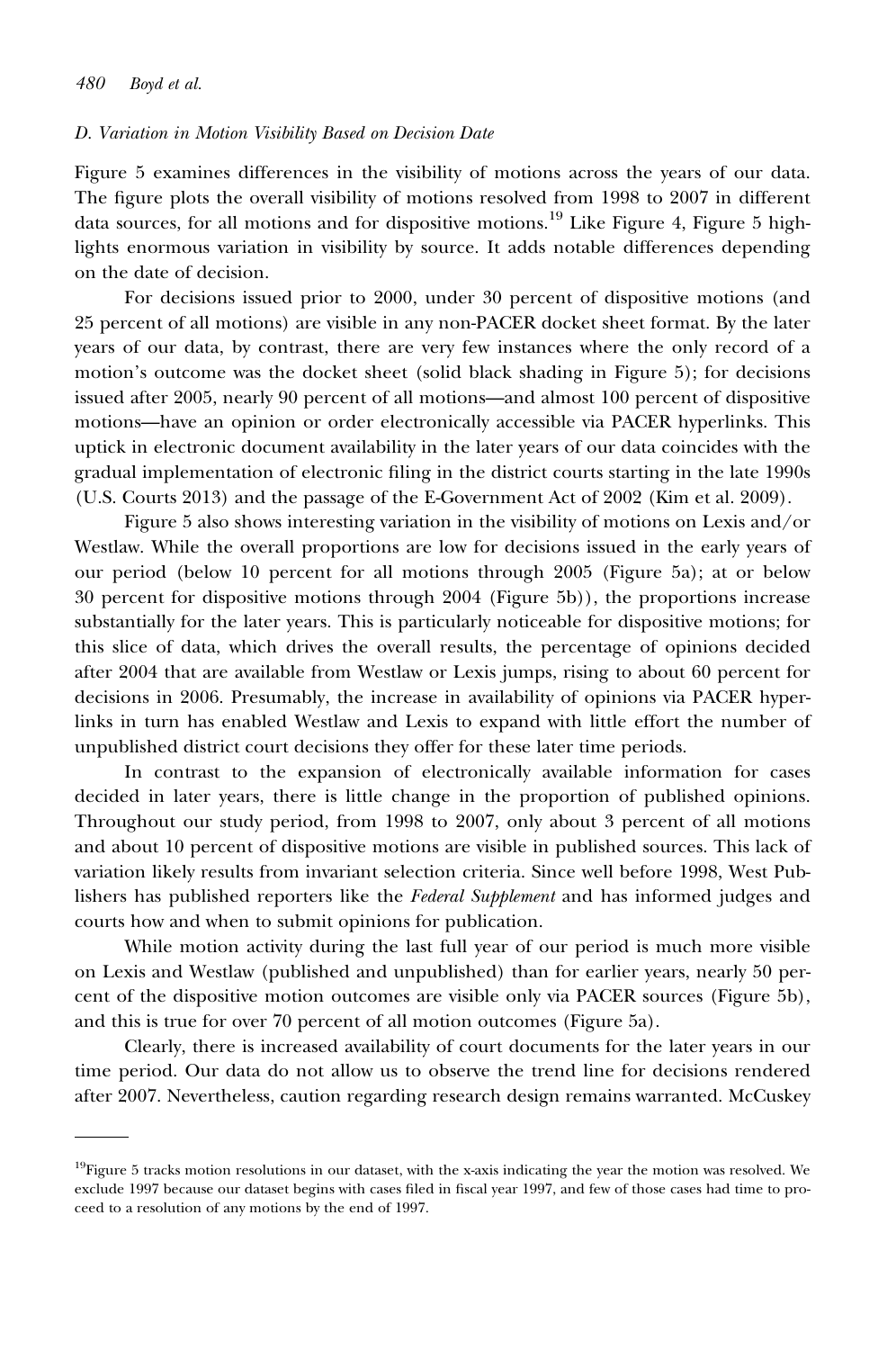#### D. Variation in Motion Visibility Based on Decision Date

Figure 5 examines differences in the visibility of motions across the years of our data. The figure plots the overall visibility of motions resolved from 1998 to 2007 in different data sources, for all motions and for dispositive motions.<sup>19</sup> Like Figure 4, Figure 5 highlights enormous variation in visibility by source. It adds notable differences depending on the date of decision.

For decisions issued prior to 2000, under 30 percent of dispositive motions (and 25 percent of all motions) are visible in any non-PACER docket sheet format. By the later years of our data, by contrast, there are very few instances where the only record of a motion's outcome was the docket sheet (solid black shading in Figure 5); for decisions issued after 2005, nearly 90 percent of all motions—and almost 100 percent of dispositive motions—have an opinion or order electronically accessible via PACER hyperlinks. This uptick in electronic document availability in the later years of our data coincides with the gradual implementation of electronic filing in the district courts starting in the late 1990s (U.S. Courts 2013) and the passage of the E-Government Act of 2002 (Kim et al. 2009).

Figure 5 also shows interesting variation in the visibility of motions on Lexis and/or Westlaw. While the overall proportions are low for decisions issued in the early years of our period (below 10 percent for all motions through 2005 (Figure 5a); at or below 30 percent for dispositive motions through 2004 (Figure 5b)), the proportions increase substantially for the later years. This is particularly noticeable for dispositive motions; for this slice of data, which drives the overall results, the percentage of opinions decided after 2004 that are available from Westlaw or Lexis jumps, rising to about 60 percent for decisions in 2006. Presumably, the increase in availability of opinions via PACER hyperlinks in turn has enabled Westlaw and Lexis to expand with little effort the number of unpublished district court decisions they offer for these later time periods.

In contrast to the expansion of electronically available information for cases decided in later years, there is little change in the proportion of published opinions. Throughout our study period, from 1998 to 2007, only about 3 percent of all motions and about 10 percent of dispositive motions are visible in published sources. This lack of variation likely results from invariant selection criteria. Since well before 1998, West Publishers has published reporters like the Federal Supplement and has informed judges and courts how and when to submit opinions for publication.

While motion activity during the last full year of our period is much more visible on Lexis and Westlaw (published and unpublished) than for earlier years, nearly 50 percent of the dispositive motion outcomes are visible only via PACER sources (Figure 5b), and this is true for over 70 percent of all motion outcomes (Figure 5a).

Clearly, there is increased availability of court documents for the later years in our time period. Our data do not allow us to observe the trend line for decisions rendered after 2007. Nevertheless, caution regarding research design remains warranted. McCuskey

 $19$ Figure 5 tracks motion resolutions in our dataset, with the x-axis indicating the year the motion was resolved. We exclude 1997 because our dataset begins with cases filed in fiscal year 1997, and few of those cases had time to proceed to a resolution of any motions by the end of 1997.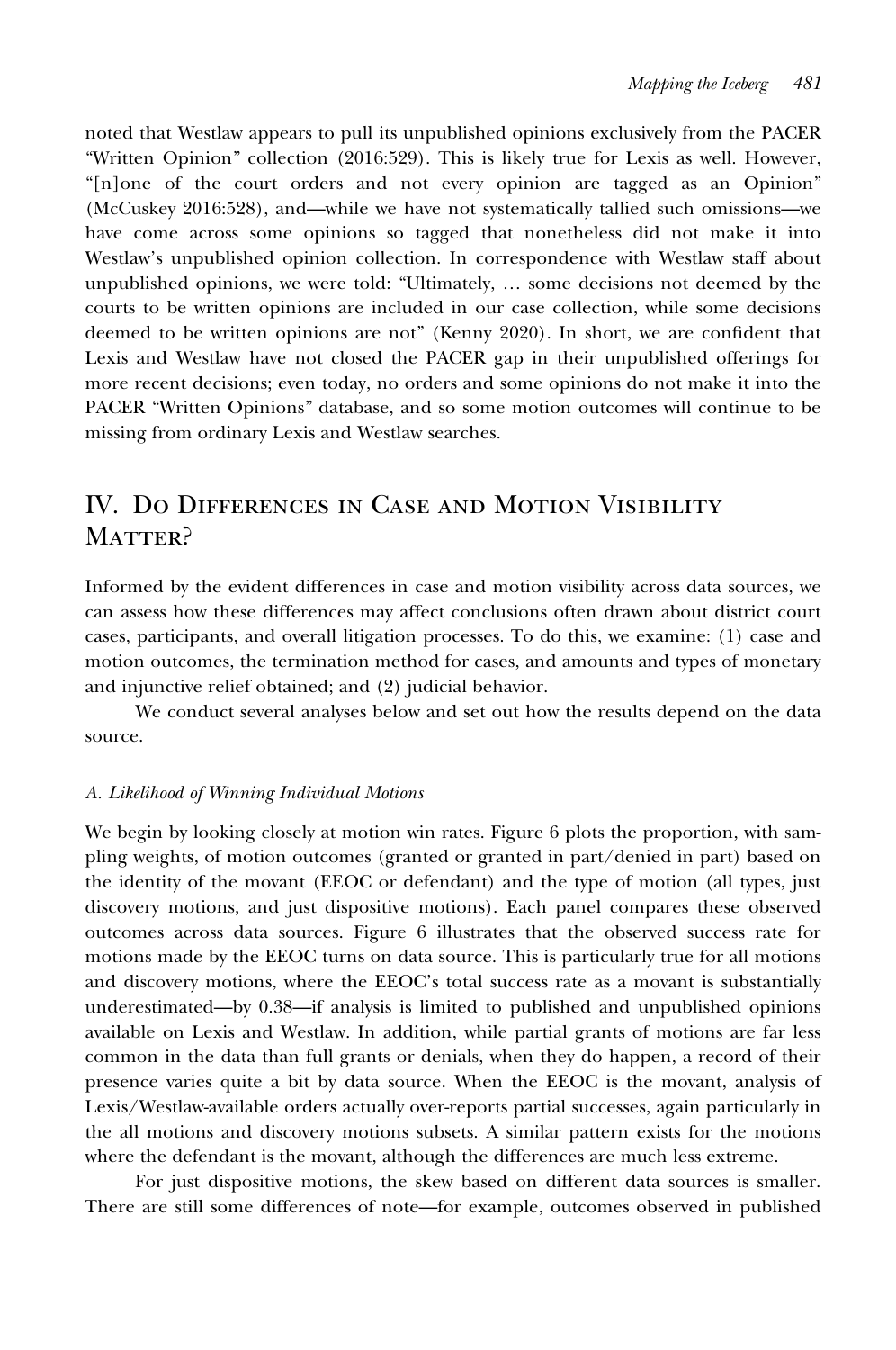noted that Westlaw appears to pull its unpublished opinions exclusively from the PACER "Written Opinion" collection (2016:529). This is likely true for Lexis as well. However, "[n]one of the court orders and not every opinion are tagged as an Opinion" (McCuskey 2016:528), and—while we have not systematically tallied such omissions—we have come across some opinions so tagged that nonetheless did not make it into Westlaw's unpublished opinion collection. In correspondence with Westlaw staff about unpublished opinions, we were told: "Ultimately, … some decisions not deemed by the courts to be written opinions are included in our case collection, while some decisions deemed to be written opinions are not" (Kenny 2020). In short, we are confident that Lexis and Westlaw have not closed the PACER gap in their unpublished offerings for more recent decisions; even today, no orders and some opinions do not make it into the PACER "Written Opinions" database, and so some motion outcomes will continue to be missing from ordinary Lexis and Westlaw searches.

## IV. Do Differences in Case and Motion Visibility MATTER?

Informed by the evident differences in case and motion visibility across data sources, we can assess how these differences may affect conclusions often drawn about district court cases, participants, and overall litigation processes. To do this, we examine: (1) case and motion outcomes, the termination method for cases, and amounts and types of monetary and injunctive relief obtained; and (2) judicial behavior.

We conduct several analyses below and set out how the results depend on the data source.

#### A. Likelihood of Winning Individual Motions

We begin by looking closely at motion win rates. Figure 6 plots the proportion, with sampling weights, of motion outcomes (granted or granted in part/denied in part) based on the identity of the movant (EEOC or defendant) and the type of motion (all types, just discovery motions, and just dispositive motions). Each panel compares these observed outcomes across data sources. Figure 6 illustrates that the observed success rate for motions made by the EEOC turns on data source. This is particularly true for all motions and discovery motions, where the EEOC's total success rate as a movant is substantially underestimated—by 0.38—if analysis is limited to published and unpublished opinions available on Lexis and Westlaw. In addition, while partial grants of motions are far less common in the data than full grants or denials, when they do happen, a record of their presence varies quite a bit by data source. When the EEOC is the movant, analysis of Lexis/Westlaw-available orders actually over-reports partial successes, again particularly in the all motions and discovery motions subsets. A similar pattern exists for the motions where the defendant is the movant, although the differences are much less extreme.

For just dispositive motions, the skew based on different data sources is smaller. There are still some differences of note—for example, outcomes observed in published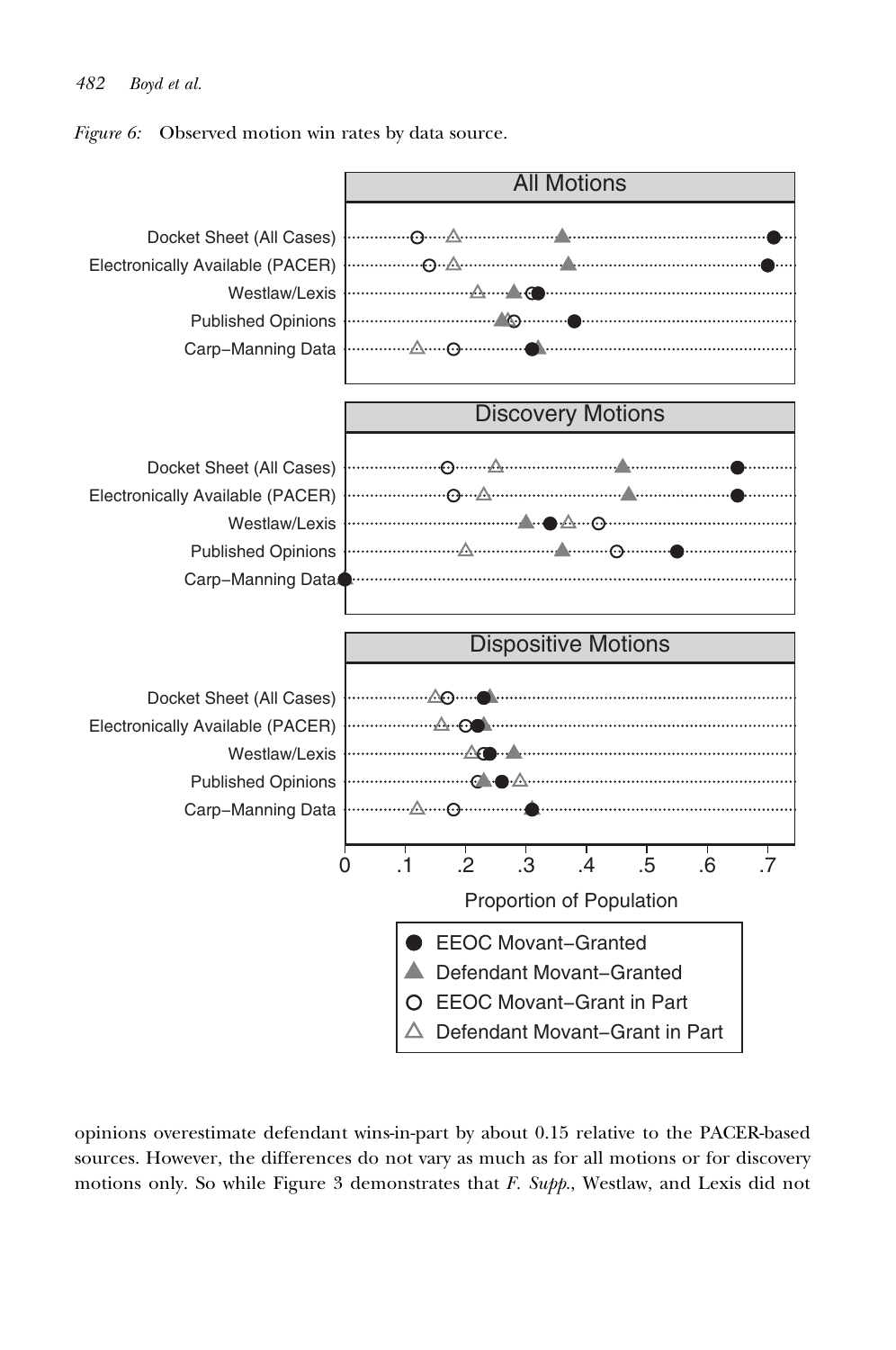#### 482 Boyd et al.

Figure 6: Observed motion win rates by data source.



opinions overestimate defendant wins-in-part by about 0.15 relative to the PACER-based sources. However, the differences do not vary as much as for all motions or for discovery motions only. So while Figure 3 demonstrates that  $F.$  Supp., Westlaw, and Lexis did not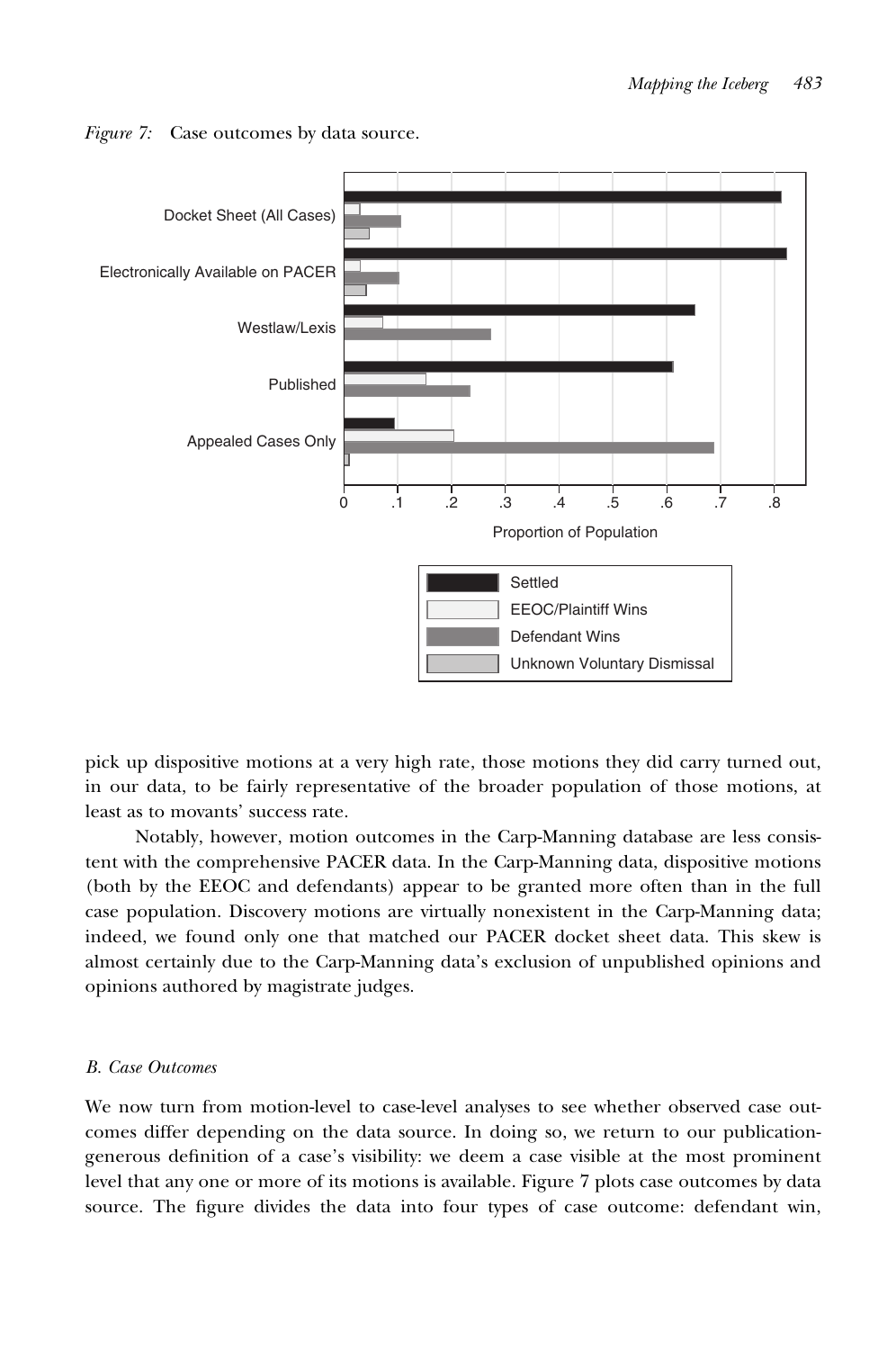

Figure 7: Case outcomes by data source.

pick up dispositive motions at a very high rate, those motions they did carry turned out, in our data, to be fairly representative of the broader population of those motions, at least as to movants' success rate.

Notably, however, motion outcomes in the Carp-Manning database are less consistent with the comprehensive PACER data. In the Carp-Manning data, dispositive motions (both by the EEOC and defendants) appear to be granted more often than in the full case population. Discovery motions are virtually nonexistent in the Carp-Manning data; indeed, we found only one that matched our PACER docket sheet data. This skew is almost certainly due to the Carp-Manning data's exclusion of unpublished opinions and opinions authored by magistrate judges.

#### B. Case Outcomes

We now turn from motion-level to case-level analyses to see whether observed case outcomes differ depending on the data source. In doing so, we return to our publicationgenerous definition of a case's visibility: we deem a case visible at the most prominent level that any one or more of its motions is available. Figure 7 plots case outcomes by data source. The figure divides the data into four types of case outcome: defendant win,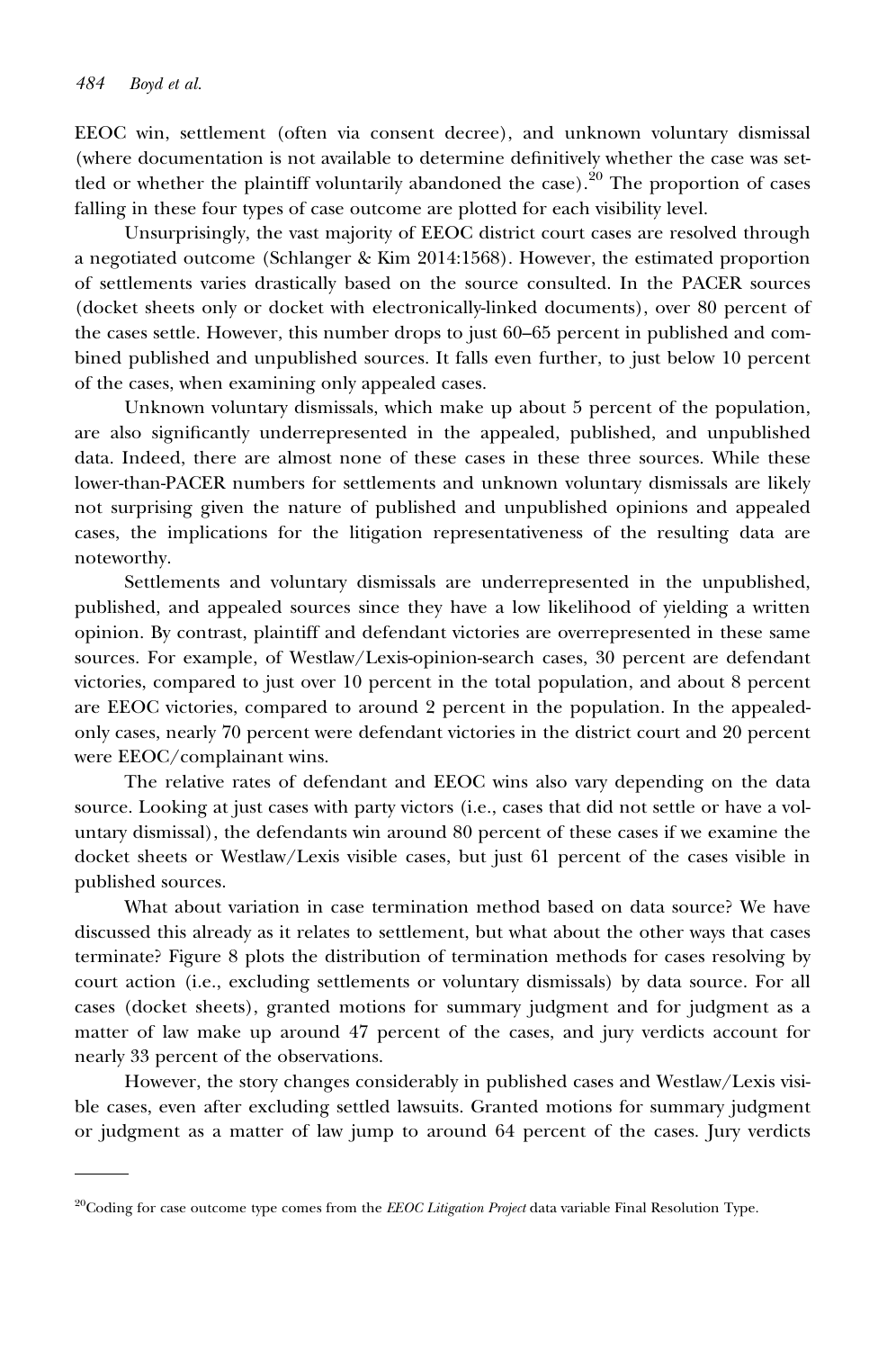EEOC win, settlement (often via consent decree), and unknown voluntary dismissal (where documentation is not available to determine definitively whether the case was settled or whether the plaintiff voluntarily abandoned the case).<sup>20</sup> The proportion of cases falling in these four types of case outcome are plotted for each visibility level.

Unsurprisingly, the vast majority of EEOC district court cases are resolved through a negotiated outcome (Schlanger & Kim 2014:1568). However, the estimated proportion of settlements varies drastically based on the source consulted. In the PACER sources (docket sheets only or docket with electronically-linked documents), over 80 percent of the cases settle. However, this number drops to just 60–65 percent in published and combined published and unpublished sources. It falls even further, to just below 10 percent of the cases, when examining only appealed cases.

Unknown voluntary dismissals, which make up about 5 percent of the population, are also significantly underrepresented in the appealed, published, and unpublished data. Indeed, there are almost none of these cases in these three sources. While these lower-than-PACER numbers for settlements and unknown voluntary dismissals are likely not surprising given the nature of published and unpublished opinions and appealed cases, the implications for the litigation representativeness of the resulting data are noteworthy.

Settlements and voluntary dismissals are underrepresented in the unpublished, published, and appealed sources since they have a low likelihood of yielding a written opinion. By contrast, plaintiff and defendant victories are overrepresented in these same sources. For example, of Westlaw/Lexis-opinion-search cases, 30 percent are defendant victories, compared to just over 10 percent in the total population, and about 8 percent are EEOC victories, compared to around 2 percent in the population. In the appealedonly cases, nearly 70 percent were defendant victories in the district court and 20 percent were EEOC/complainant wins.

The relative rates of defendant and EEOC wins also vary depending on the data source. Looking at just cases with party victors (i.e., cases that did not settle or have a voluntary dismissal), the defendants win around 80 percent of these cases if we examine the docket sheets or Westlaw/Lexis visible cases, but just 61 percent of the cases visible in published sources.

What about variation in case termination method based on data source? We have discussed this already as it relates to settlement, but what about the other ways that cases terminate? Figure 8 plots the distribution of termination methods for cases resolving by court action (i.e., excluding settlements or voluntary dismissals) by data source. For all cases (docket sheets), granted motions for summary judgment and for judgment as a matter of law make up around 47 percent of the cases, and jury verdicts account for nearly 33 percent of the observations.

However, the story changes considerably in published cases and Westlaw/Lexis visible cases, even after excluding settled lawsuits. Granted motions for summary judgment or judgment as a matter of law jump to around 64 percent of the cases. Jury verdicts

 $^{20}$ Coding for case outcome type comes from the *EEOC Litigation Project* data variable Final Resolution Type.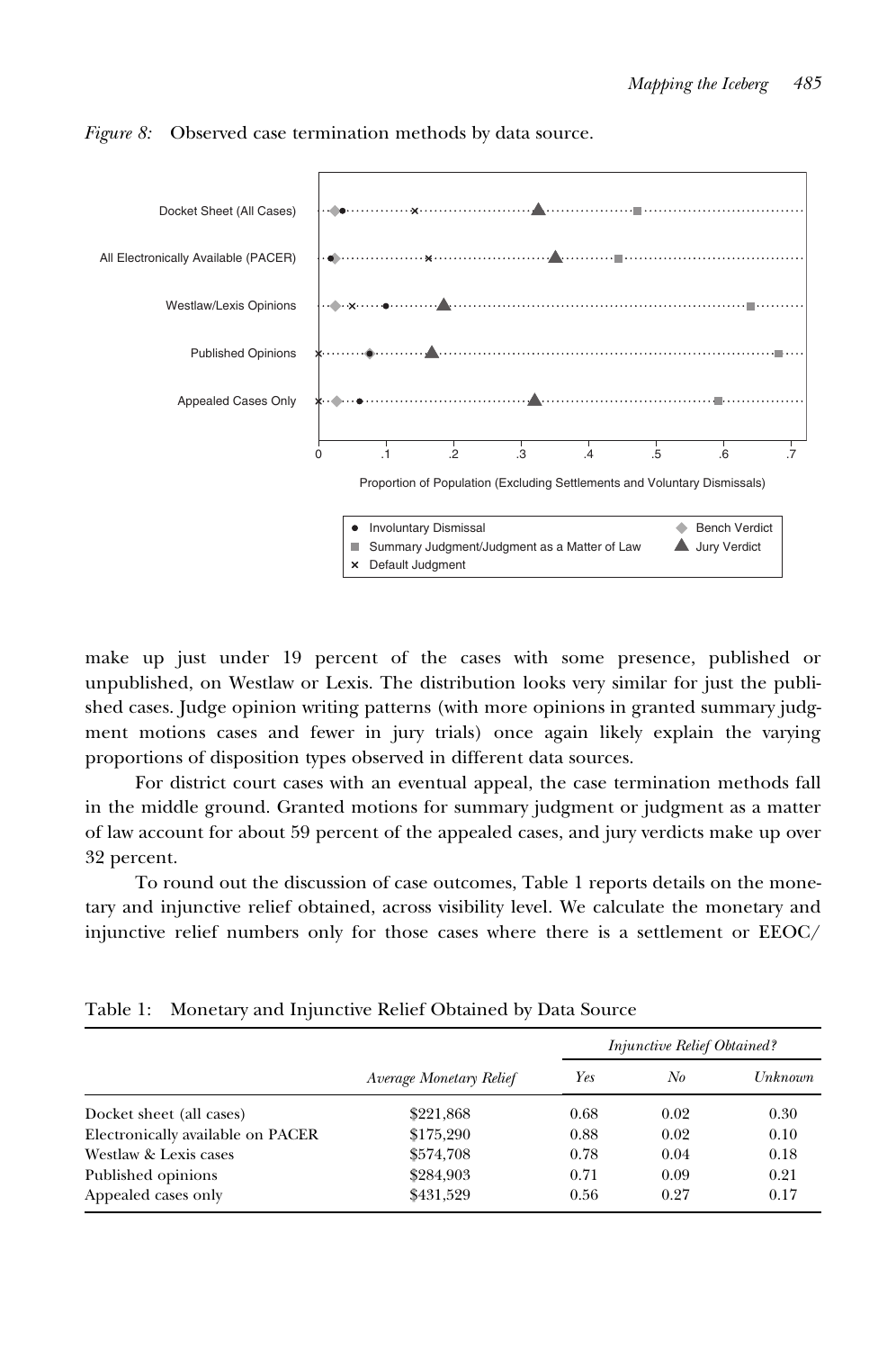

Figure 8: Observed case termination methods by data source.

make up just under 19 percent of the cases with some presence, published or unpublished, on Westlaw or Lexis. The distribution looks very similar for just the published cases. Judge opinion writing patterns (with more opinions in granted summary judgment motions cases and fewer in jury trials) once again likely explain the varying proportions of disposition types observed in different data sources.

For district court cases with an eventual appeal, the case termination methods fall in the middle ground. Granted motions for summary judgment or judgment as a matter of law account for about 59 percent of the appealed cases, and jury verdicts make up over 32 percent.

To round out the discussion of case outcomes, Table 1 reports details on the monetary and injunctive relief obtained, across visibility level. We calculate the monetary and injunctive relief numbers only for those cases where there is a settlement or EEOC/

|                                   |                         | <i>Injunctive Relief Obtained?</i> |      |         |
|-----------------------------------|-------------------------|------------------------------------|------|---------|
|                                   | Average Monetary Relief | Yes                                | No   | Unknown |
| Docket sheet (all cases)          | \$221,868               | 0.68                               | 0.02 | 0.30    |
| Electronically available on PACER | \$175,290               | 0.88                               | 0.02 | 0.10    |
| Westlaw & Lexis cases             | \$574,708               | 0.78                               | 0.04 | 0.18    |
| Published opinions                | \$284,903               | 0.71                               | 0.09 | 0.21    |
| Appealed cases only               | \$431,529               | 0.56                               | 0.27 | 0.17    |

Table 1: Monetary and Injunctive Relief Obtained by Data Source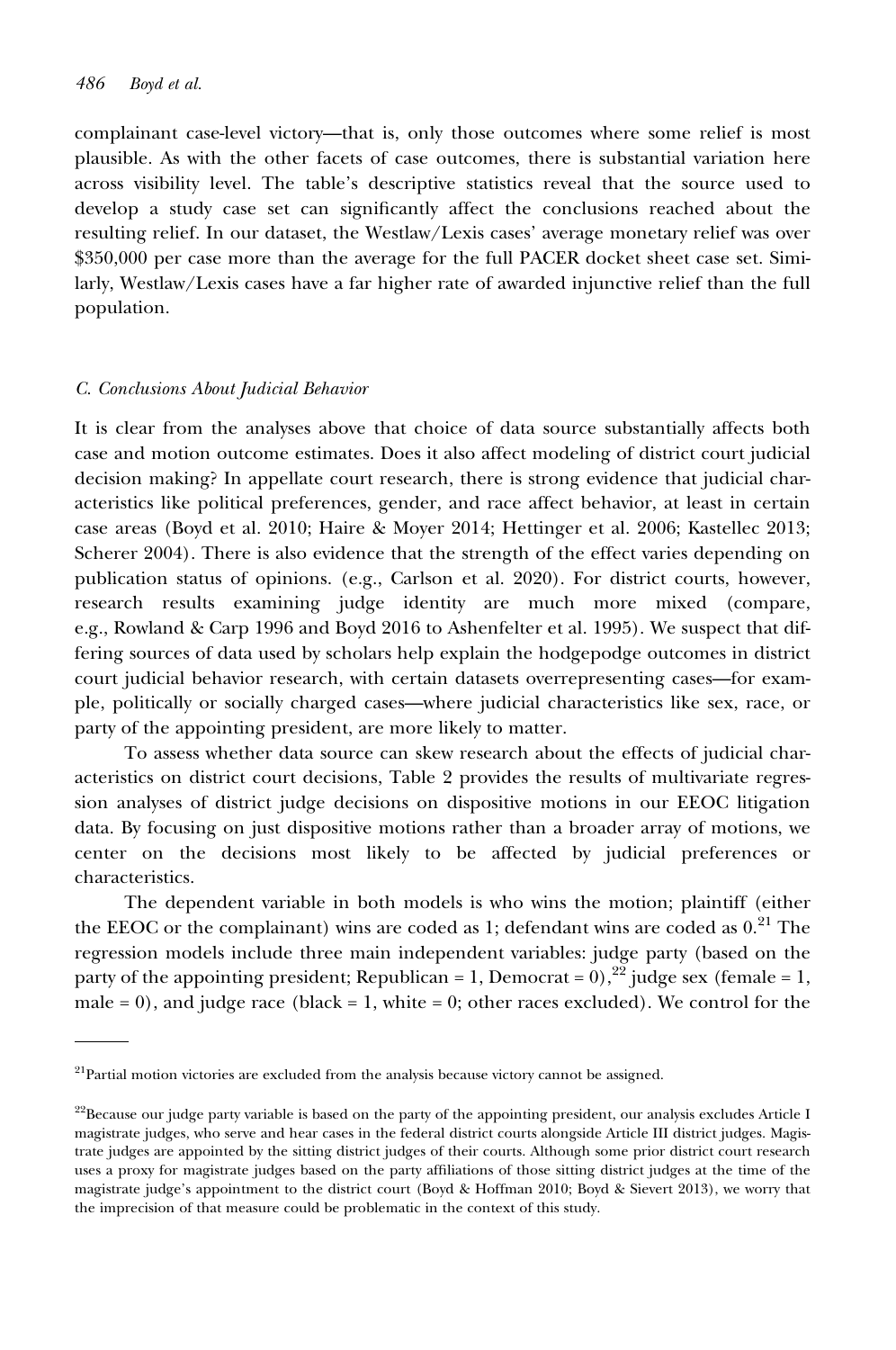complainant case-level victory—that is, only those outcomes where some relief is most plausible. As with the other facets of case outcomes, there is substantial variation here across visibility level. The table's descriptive statistics reveal that the source used to develop a study case set can significantly affect the conclusions reached about the resulting relief. In our dataset, the Westlaw/Lexis cases' average monetary relief was over \$350,000 per case more than the average for the full PACER docket sheet case set. Similarly, Westlaw/Lexis cases have a far higher rate of awarded injunctive relief than the full population.

#### C. Conclusions About Judicial Behavior

It is clear from the analyses above that choice of data source substantially affects both case and motion outcome estimates. Does it also affect modeling of district court judicial decision making? In appellate court research, there is strong evidence that judicial characteristics like political preferences, gender, and race affect behavior, at least in certain case areas (Boyd et al. 2010; Haire & Moyer 2014; Hettinger et al. 2006; Kastellec 2013; Scherer 2004). There is also evidence that the strength of the effect varies depending on publication status of opinions. (e.g., Carlson et al. 2020). For district courts, however, research results examining judge identity are much more mixed (compare, e.g., Rowland & Carp 1996 and Boyd 2016 to Ashenfelter et al. 1995). We suspect that differing sources of data used by scholars help explain the hodgepodge outcomes in district court judicial behavior research, with certain datasets overrepresenting cases—for example, politically or socially charged cases—where judicial characteristics like sex, race, or party of the appointing president, are more likely to matter.

To assess whether data source can skew research about the effects of judicial characteristics on district court decisions, Table 2 provides the results of multivariate regression analyses of district judge decisions on dispositive motions in our EEOC litigation data. By focusing on just dispositive motions rather than a broader array of motions, we center on the decisions most likely to be affected by judicial preferences or characteristics.

The dependent variable in both models is who wins the motion; plaintiff (either the EEOC or the complainant) wins are coded as 1; defendant wins are coded as  $0<sup>21</sup>$  The regression models include three main independent variables: judge party (based on the party of the appointing president; Republican = 1, Democrat = 0),<sup>22</sup> judge sex (female = 1, male =  $0$ ), and judge race (black =  $1$ , white =  $0$ ; other races excluded). We control for the

<sup>&</sup>lt;sup>21</sup>Partial motion victories are excluded from the analysis because victory cannot be assigned.

<sup>&</sup>lt;sup>22</sup>Because our judge party variable is based on the party of the appointing president, our analysis excludes Article I magistrate judges, who serve and hear cases in the federal district courts alongside Article III district judges. Magistrate judges are appointed by the sitting district judges of their courts. Although some prior district court research uses a proxy for magistrate judges based on the party affiliations of those sitting district judges at the time of the magistrate judge's appointment to the district court (Boyd & Hoffman 2010; Boyd & Sievert 2013), we worry that the imprecision of that measure could be problematic in the context of this study.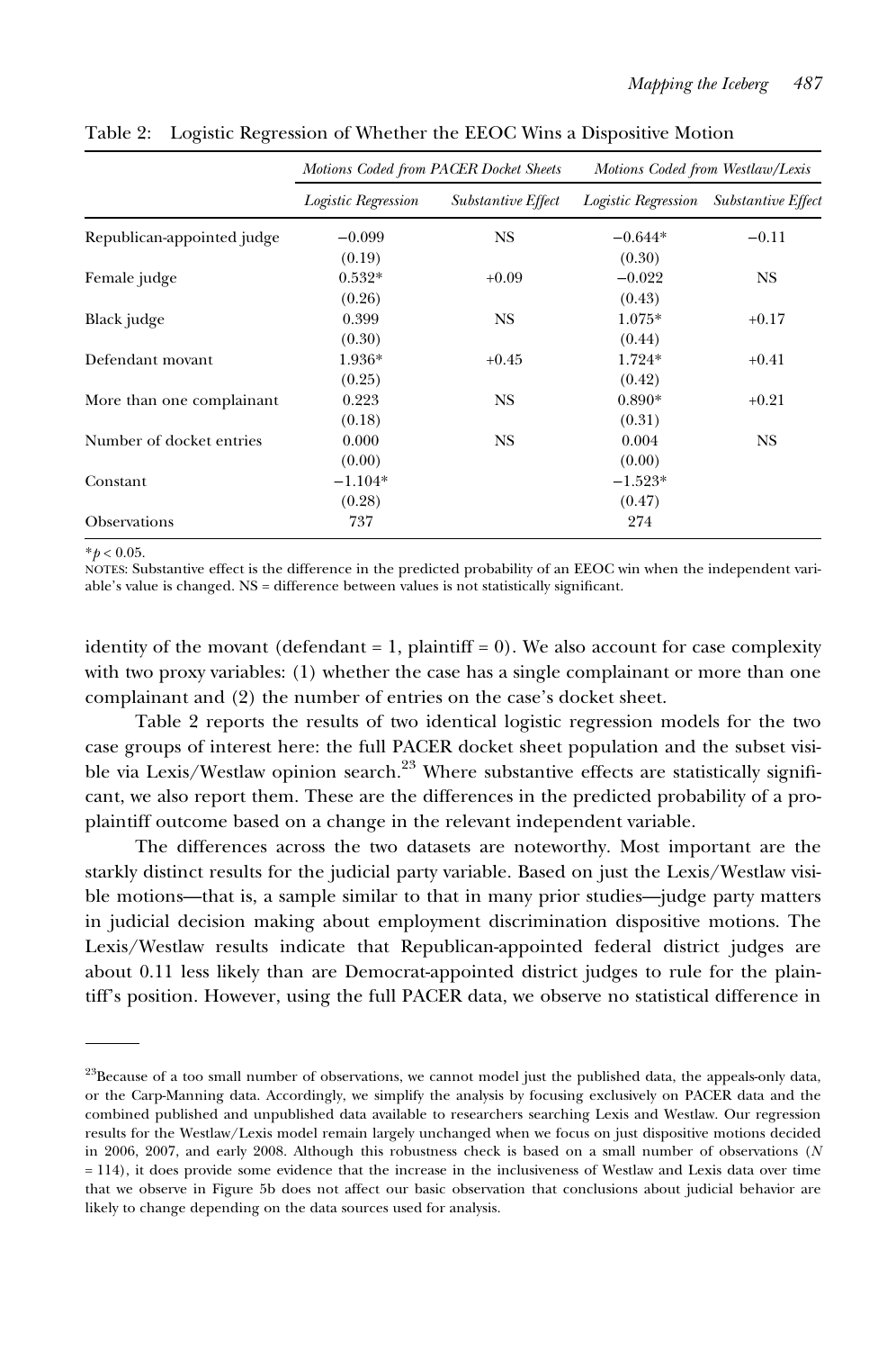|                            | Motions Coded from PACER Docket Sheets |                    | Motions Coded from Westlaw/Lexis |                           |  |
|----------------------------|----------------------------------------|--------------------|----------------------------------|---------------------------|--|
|                            | Logistic Regression                    | Substantive Effect | Logistic Regression              | <b>Substantive Effect</b> |  |
| Republican-appointed judge | $-0.099$                               | <b>NS</b>          | $-0.644*$                        | $-0.11$                   |  |
|                            | (0.19)                                 |                    | (0.30)                           |                           |  |
| Female judge               | $0.532*$                               | $+0.09$            | $-0.022$                         | NS.                       |  |
|                            | (0.26)                                 |                    | (0.43)                           |                           |  |
| Black judge                | 0.399                                  | <b>NS</b>          | $1.075*$                         | $+0.17$                   |  |
|                            | (0.30)                                 |                    | (0.44)                           |                           |  |
| Defendant movant           | 1.936*                                 | $+0.45$            | 1.724*                           | $+0.41$                   |  |
|                            | (0.25)                                 |                    | (0.42)                           |                           |  |
| More than one complainant  | 0.223                                  | <b>NS</b>          | $0.890*$                         | $+0.21$                   |  |
|                            | (0.18)                                 |                    | (0.31)                           |                           |  |
| Number of docket entries   | 0.000                                  | <b>NS</b>          | 0.004                            | NS                        |  |
|                            | (0.00)                                 |                    | (0.00)                           |                           |  |
| Constant                   | $-1.104*$                              |                    | $-1.523*$                        |                           |  |
|                            | (0.28)                                 |                    | (0.47)                           |                           |  |
| Observations               | 737                                    |                    | 274                              |                           |  |

Table 2: Logistic Regression of Whether the EEOC Wins a Dispositive Motion

 $*<sub>p</sub> < 0.05$ .

NOTES: Substantive effect is the difference in the predicted probability of an EEOC win when the independent variable's value is changed. NS = difference between values is not statistically significant.

identity of the movant (defendant  $= 1$ , plaintiff  $= 0$ ). We also account for case complexity with two proxy variables: (1) whether the case has a single complainant or more than one complainant and (2) the number of entries on the case's docket sheet.

Table 2 reports the results of two identical logistic regression models for the two case groups of interest here: the full PACER docket sheet population and the subset visible via Lexis/Westlaw opinion search.<sup>23</sup> Where substantive effects are statistically significant, we also report them. These are the differences in the predicted probability of a proplaintiff outcome based on a change in the relevant independent variable.

The differences across the two datasets are noteworthy. Most important are the starkly distinct results for the judicial party variable. Based on just the Lexis/Westlaw visible motions—that is, a sample similar to that in many prior studies—judge party matters in judicial decision making about employment discrimination dispositive motions. The Lexis/Westlaw results indicate that Republican-appointed federal district judges are about 0.11 less likely than are Democrat-appointed district judges to rule for the plaintiff's position. However, using the full PACER data, we observe no statistical difference in

 $23$ Because of a too small number of observations, we cannot model just the published data, the appeals-only data, or the Carp-Manning data. Accordingly, we simplify the analysis by focusing exclusively on PACER data and the combined published and unpublished data available to researchers searching Lexis and Westlaw. Our regression results for the Westlaw/Lexis model remain largely unchanged when we focus on just dispositive motions decided in 2006, 2007, and early 2008. Although this robustness check is based on a small number of observations (N = 114), it does provide some evidence that the increase in the inclusiveness of Westlaw and Lexis data over time that we observe in Figure 5b does not affect our basic observation that conclusions about judicial behavior are likely to change depending on the data sources used for analysis.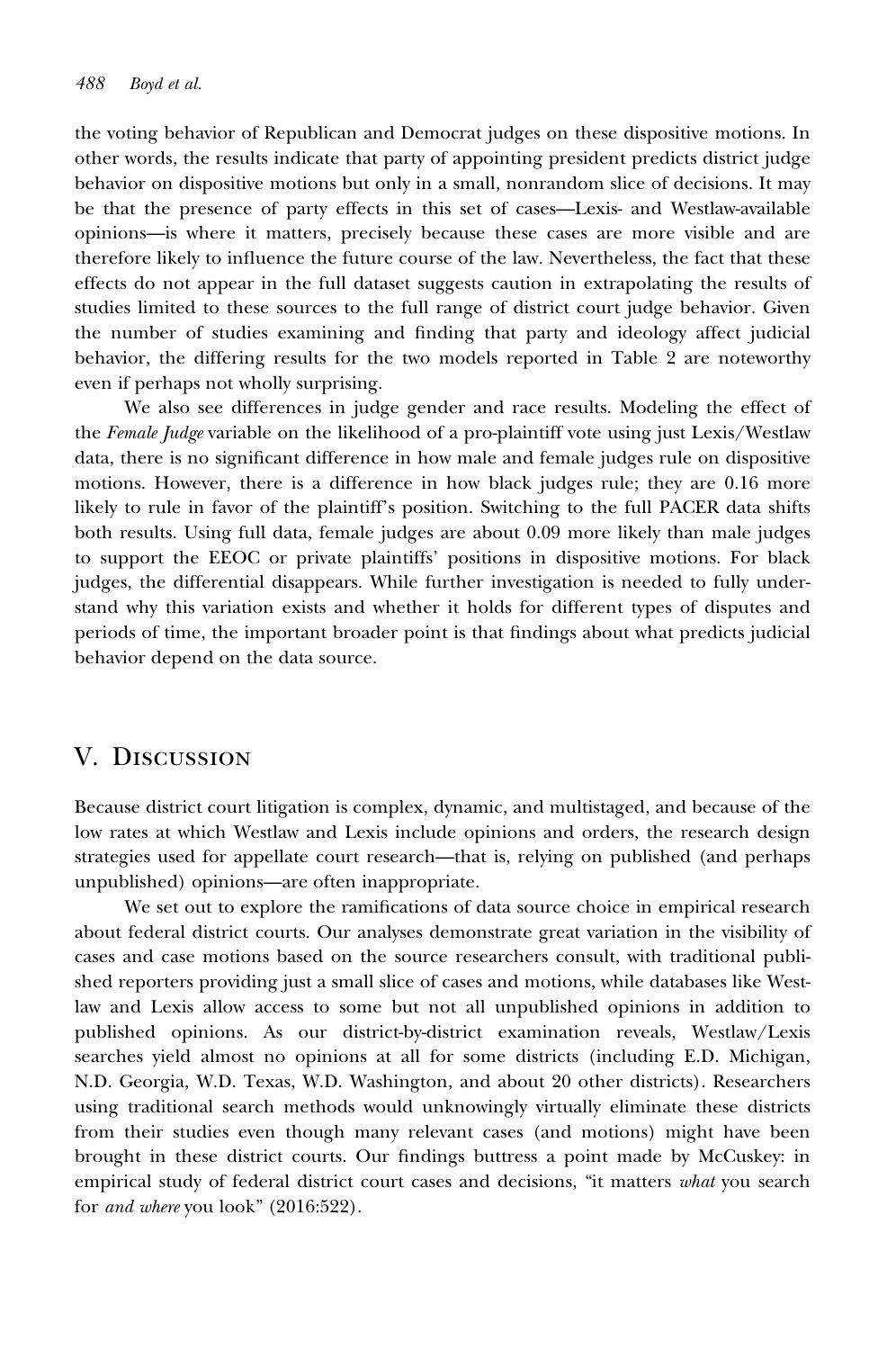the voting behavior of Republican and Democrat judges on these dispositive motions. In other words, the results indicate that party of appointing president predicts district judge behavior on dispositive motions but only in a small, nonrandom slice of decisions. It may be that the presence of party effects in this set of cases—Lexis- and Westlaw-available opinions—is where it matters, precisely because these cases are more visible and are therefore likely to influence the future course of the law. Nevertheless, the fact that these effects do not appear in the full dataset suggests caution in extrapolating the results of studies limited to these sources to the full range of district court judge behavior. Given the number of studies examining and finding that party and ideology affect judicial behavior, the differing results for the two models reported in Table 2 are noteworthy even if perhaps not wholly surprising.

We also see differences in judge gender and race results. Modeling the effect of the Female Judge variable on the likelihood of a pro-plaintiff vote using just Lexis/Westlaw data, there is no significant difference in how male and female judges rule on dispositive motions. However, there is a difference in how black judges rule; they are 0.16 more likely to rule in favor of the plaintiff's position. Switching to the full PACER data shifts both results. Using full data, female judges are about 0.09 more likely than male judges to support the EEOC or private plaintiffs' positions in dispositive motions. For black judges, the differential disappears. While further investigation is needed to fully understand why this variation exists and whether it holds for different types of disputes and periods of time, the important broader point is that findings about what predicts judicial behavior depend on the data source.

## V. Discussion

Because district court litigation is complex, dynamic, and multistaged, and because of the low rates at which Westlaw and Lexis include opinions and orders, the research design strategies used for appellate court research—that is, relying on published (and perhaps unpublished) opinions—are often inappropriate.

We set out to explore the ramifications of data source choice in empirical research about federal district courts. Our analyses demonstrate great variation in the visibility of cases and case motions based on the source researchers consult, with traditional published reporters providing just a small slice of cases and motions, while databases like Westlaw and Lexis allow access to some but not all unpublished opinions in addition to published opinions. As our district-by-district examination reveals, Westlaw/Lexis searches yield almost no opinions at all for some districts (including E.D. Michigan, N.D. Georgia, W.D. Texas, W.D. Washington, and about 20 other districts). Researchers using traditional search methods would unknowingly virtually eliminate these districts from their studies even though many relevant cases (and motions) might have been brought in these district courts. Our findings buttress a point made by McCuskey: in empirical study of federal district court cases and decisions, "it matters what you search for and where you look" (2016:522).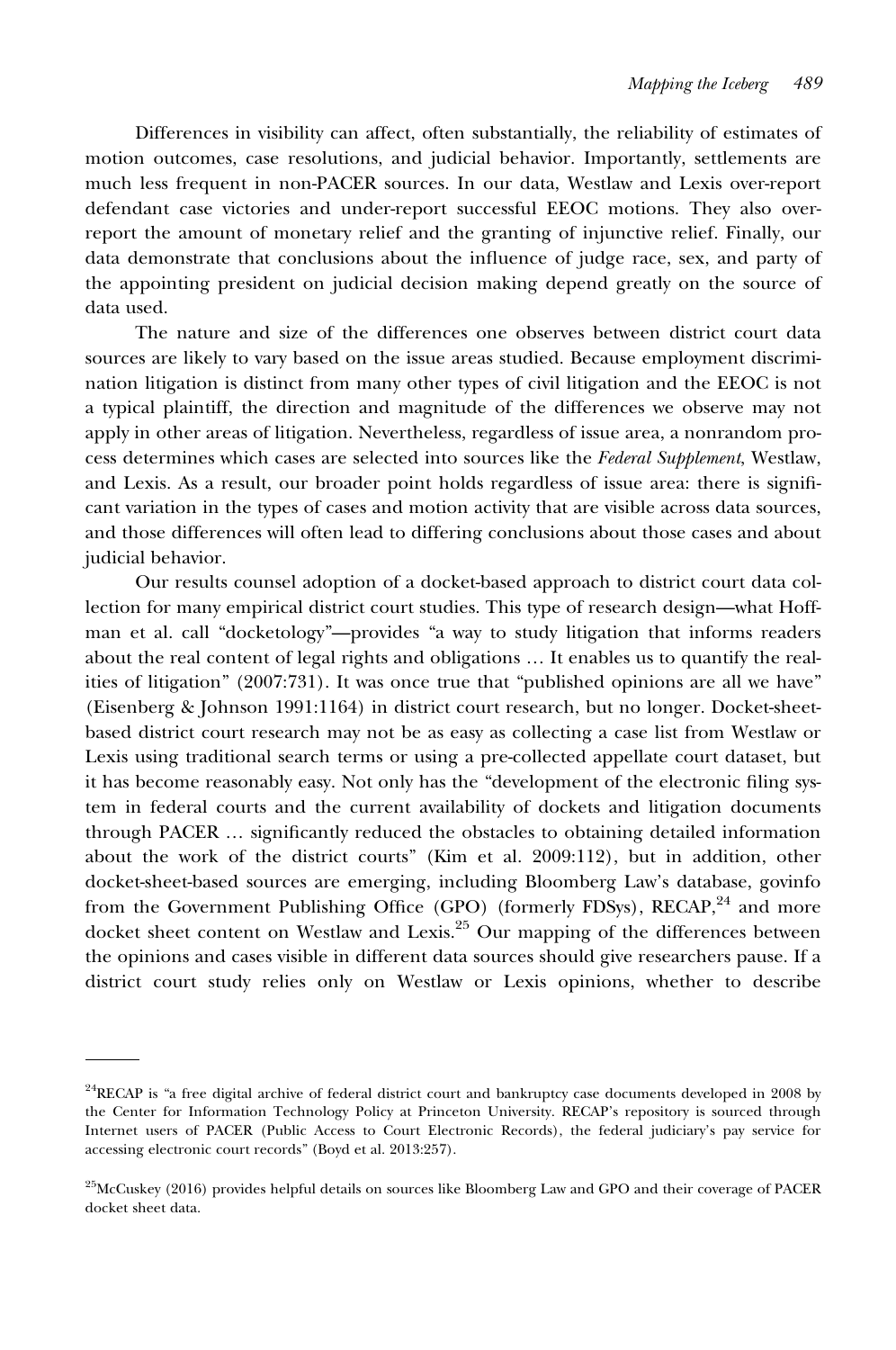Differences in visibility can affect, often substantially, the reliability of estimates of motion outcomes, case resolutions, and judicial behavior. Importantly, settlements are much less frequent in non-PACER sources. In our data, Westlaw and Lexis over-report defendant case victories and under-report successful EEOC motions. They also overreport the amount of monetary relief and the granting of injunctive relief. Finally, our data demonstrate that conclusions about the influence of judge race, sex, and party of the appointing president on judicial decision making depend greatly on the source of data used.

The nature and size of the differences one observes between district court data sources are likely to vary based on the issue areas studied. Because employment discrimination litigation is distinct from many other types of civil litigation and the EEOC is not a typical plaintiff, the direction and magnitude of the differences we observe may not apply in other areas of litigation. Nevertheless, regardless of issue area, a nonrandom process determines which cases are selected into sources like the Federal Supplement, Westlaw, and Lexis. As a result, our broader point holds regardless of issue area: there is significant variation in the types of cases and motion activity that are visible across data sources, and those differences will often lead to differing conclusions about those cases and about judicial behavior.

Our results counsel adoption of a docket-based approach to district court data collection for many empirical district court studies. This type of research design—what Hoffman et al. call "docketology"—provides "a way to study litigation that informs readers about the real content of legal rights and obligations … It enables us to quantify the realities of litigation" (2007:731). It was once true that "published opinions are all we have" (Eisenberg & Johnson 1991:1164) in district court research, but no longer. Docket-sheetbased district court research may not be as easy as collecting a case list from Westlaw or Lexis using traditional search terms or using a pre-collected appellate court dataset, but it has become reasonably easy. Not only has the "development of the electronic filing system in federal courts and the current availability of dockets and litigation documents through PACER … significantly reduced the obstacles to obtaining detailed information about the work of the district courts" (Kim et al. 2009:112), but in addition, other docket-sheet-based sources are emerging, including Bloomberg Law's database, govinfo from the Government Publishing Office (GPO) (formerly FDSys), RECAP,<sup>24</sup> and more docket sheet content on Westlaw and Lexis.<sup>25</sup> Our mapping of the differences between the opinions and cases visible in different data sources should give researchers pause. If a district court study relies only on Westlaw or Lexis opinions, whether to describe

 $24$ RECAP is "a free digital archive of federal district court and bankruptcy case documents developed in 2008 by the Center for Information Technology Policy at Princeton University. RECAP's repository is sourced through Internet users of PACER (Public Access to Court Electronic Records), the federal judiciary's pay service for accessing electronic court records" (Boyd et al. 2013:257).

<sup>&</sup>lt;sup>25</sup>McCuskey (2016) provides helpful details on sources like Bloomberg Law and GPO and their coverage of PACER docket sheet data.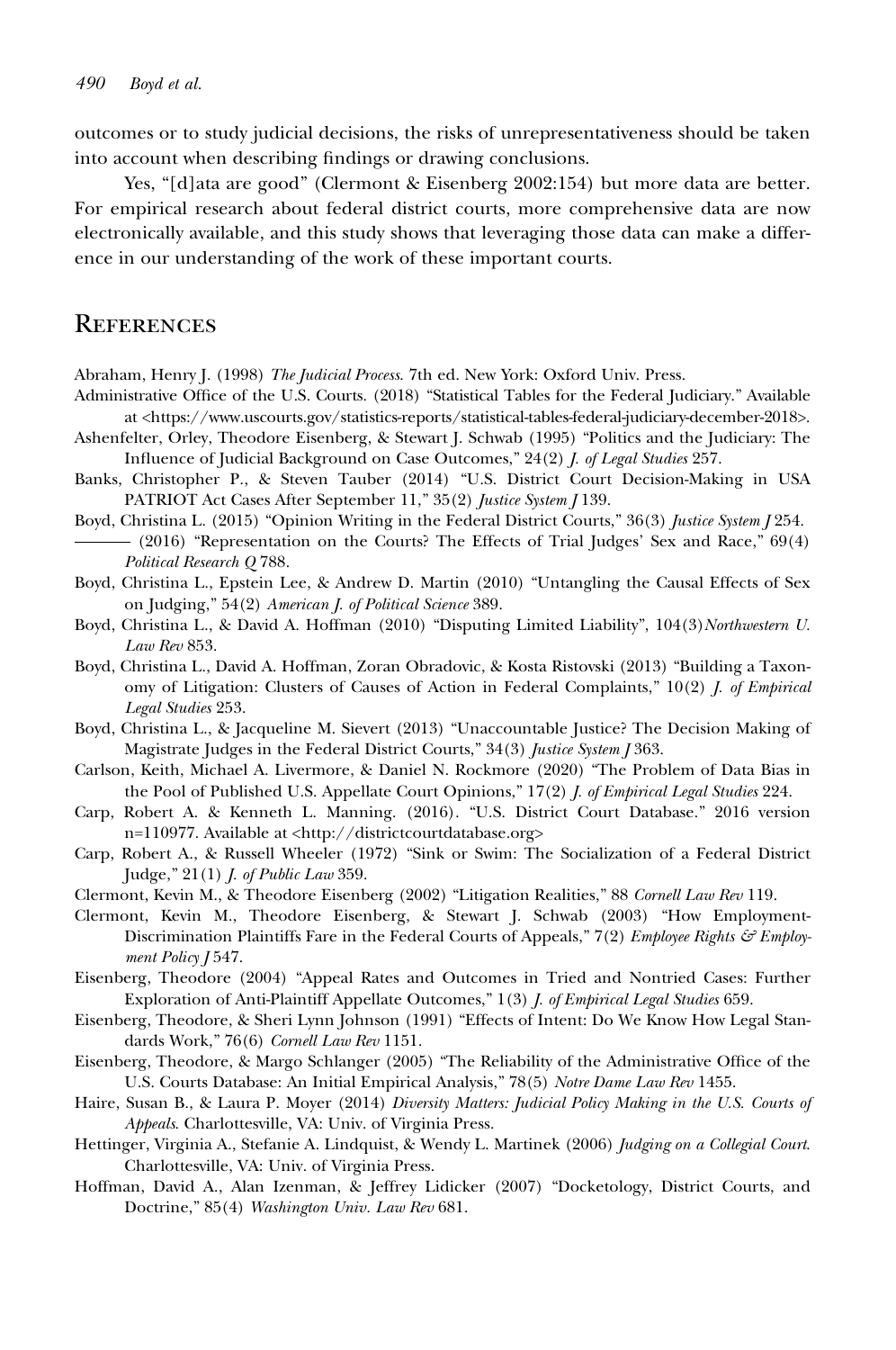outcomes or to study judicial decisions, the risks of unrepresentativeness should be taken into account when describing findings or drawing conclusions.

Yes, "[d]ata are good" (Clermont & Eisenberg 2002:154) but more data are better. For empirical research about federal district courts, more comprehensive data are now electronically available, and this study shows that leveraging those data can make a difference in our understanding of the work of these important courts.

### **REFERENCES**

Abraham, Henry J. (1998) The Judicial Process. 7th ed. New York: Oxford Univ. Press.

- Administrative Office of the U.S. Courts. (2018) "Statistical Tables for the Federal Judiciary." Available at [<https://www.uscourts.gov/statistics-reports/statistical-tables-federal-judiciary-december-2018>](https://www.uscourts.gov/statistics-reports/statistical-tables-federal-judiciary-december-2018).
- Ashenfelter, Orley, Theodore Eisenberg, & Stewart J. Schwab (1995) "Politics and the Judiciary: The Influence of Judicial Background on Case Outcomes," 24(2) J. of Legal Studies 257.
- Banks, Christopher P., & Steven Tauber (2014) "U.S. District Court Decision-Making in USA PATRIOT Act Cases After September 11," 35(2) Justice System J 139.
- Boyd, Christina L. (2015) "Opinion Writing in the Federal District Courts," 36(3) Justice System J 254.
- (2016) "Representation on the Courts? The Effects of Trial Judges' Sex and Race," 69(4) Political Research Q 788.
- Boyd, Christina L., Epstein Lee, & Andrew D. Martin (2010) "Untangling the Causal Effects of Sex on Judging," 54(2) American J. of Political Science 389.
- Boyd, Christina L., & David A. Hoffman (2010) "Disputing Limited Liability", 104(3)Northwestern U. Law Rev 853.
- Boyd, Christina L., David A. Hoffman, Zoran Obradovic, & Kosta Ristovski (2013) "Building a Taxonomy of Litigation: Clusters of Causes of Action in Federal Complaints,"  $10(2)$  *I. of Empirical* Legal Studies 253.
- Boyd, Christina L., & Jacqueline M. Sievert (2013) "Unaccountable Justice? The Decision Making of Magistrate Judges in the Federal District Courts," 34(3) Justice System J 363.
- Carlson, Keith, Michael A. Livermore, & Daniel N. Rockmore (2020) "The Problem of Data Bias in the Pool of Published U.S. Appellate Court Opinions," 17(2) J. of Empirical Legal Studies 224.
- Carp, Robert A. & Kenneth L. Manning. (2016). "U.S. District Court Database." 2016 version n=110977. Available at <<http://districtcourtdatabase.org>>
- Carp, Robert A., & Russell Wheeler (1972) "Sink or Swim: The Socialization of a Federal District Judge," 21(1) J. of Public Law 359.
- Clermont, Kevin M., & Theodore Eisenberg (2002) "Litigation Realities," 88 Cornell Law Rev 119.
- Clermont, Kevin M., Theodore Eisenberg, & Stewart J. Schwab (2003) "How Employment-Discrimination Plaintiffs Fare in the Federal Courts of Appeals,"  $7(2)$  Employee Rights  $\mathcal{E}$  Employment Policy J 547.
- Eisenberg, Theodore (2004) "Appeal Rates and Outcomes in Tried and Nontried Cases: Further Exploration of Anti-Plaintiff Appellate Outcomes," 1(3) J. of Empirical Legal Studies 659.
- Eisenberg, Theodore, & Sheri Lynn Johnson (1991) "Effects of Intent: Do We Know How Legal Standards Work," 76(6) Cornell Law Rev 1151.
- Eisenberg, Theodore, & Margo Schlanger (2005) "The Reliability of the Administrative Office of the U.S. Courts Database: An Initial Empirical Analysis," 78(5) Notre Dame Law Rev 1455.
- Haire, Susan B., & Laura P. Moyer (2014) Diversity Matters: Judicial Policy Making in the U.S. Courts of Appeals. Charlottesville, VA: Univ. of Virginia Press.
- Hettinger, Virginia A., Stefanie A. Lindquist, & Wendy L. Martinek (2006) Judging on a Collegial Court. Charlottesville, VA: Univ. of Virginia Press.
- Hoffman, David A., Alan Izenman, & Jeffrey Lidicker (2007) "Docketology, District Courts, and Doctrine," 85(4) Washington Univ. Law Rev 681.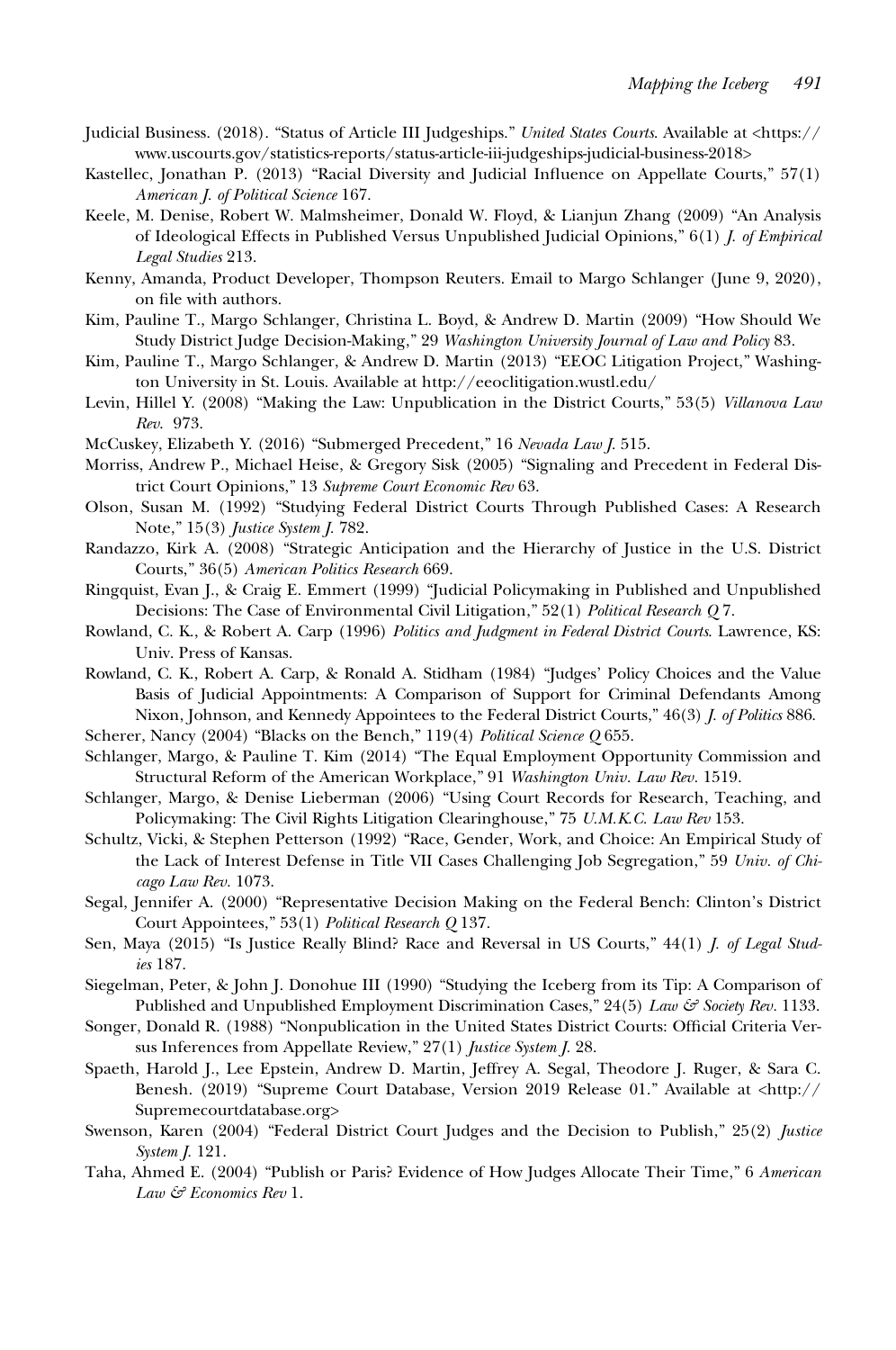- Judicial Business. (2018). "Status of Article III Judgeships." United States Courts. Available at [<https://](https://www.uscourts.gov/statistics-reports/status-article-iii-judgeships-judicial-business-2018) [www.uscourts.gov/statistics-reports/status-article-iii-judgeships-judicial-business-2018](https://www.uscourts.gov/statistics-reports/status-article-iii-judgeships-judicial-business-2018)>
- Kastellec, Jonathan P. (2013) "Racial Diversity and Judicial Influence on Appellate Courts," 57(1) American J. of Political Science 167.
- Keele, M. Denise, Robert W. Malmsheimer, Donald W. Floyd, & Lianjun Zhang (2009) "An Analysis of Ideological Effects in Published Versus Unpublished Judicial Opinions," 6(1) J. of Empirical Legal Studies 213.
- Kenny, Amanda, Product Developer, Thompson Reuters. Email to Margo Schlanger (June 9, 2020), on file with authors.
- Kim, Pauline T., Margo Schlanger, Christina L. Boyd, & Andrew D. Martin (2009) "How Should We Study District Judge Decision-Making," 29 Washington University Journal of Law and Policy 83.
- Kim, Pauline T., Margo Schlanger, & Andrew D. Martin (2013) "EEOC Litigation Project," Washington University in St. Louis. Available at<http://eeoclitigation.wustl.edu/>
- Levin, Hillel Y. (2008) "Making the Law: Unpublication in the District Courts," 53(5) Villanova Law Rev. 973.
- McCuskey, Elizabeth Y. (2016) "Submerged Precedent," 16 Nevada Law J. 515.
- Morriss, Andrew P., Michael Heise, & Gregory Sisk (2005) "Signaling and Precedent in Federal District Court Opinions," 13 Supreme Court Economic Rev 63.
- Olson, Susan M. (1992) "Studying Federal District Courts Through Published Cases: A Research Note," 15(3) Justice System J. 782.
- Randazzo, Kirk A. (2008) "Strategic Anticipation and the Hierarchy of Justice in the U.S. District Courts," 36(5) American Politics Research 669.
- Ringquist, Evan J., & Craig E. Emmert (1999) "Judicial Policymaking in Published and Unpublished Decisions: The Case of Environmental Civil Litigation," 52(1) Political Research O7.
- Rowland, C. K., & Robert A. Carp (1996) Politics and Judgment in Federal District Courts. Lawrence, KS: Univ. Press of Kansas.
- Rowland, C. K., Robert A. Carp, & Ronald A. Stidham (1984) "Judges' Policy Choices and the Value Basis of Judicial Appointments: A Comparison of Support for Criminal Defendants Among Nixon, Johnson, and Kennedy Appointees to the Federal District Courts," 46(3) *J. of Politics* 886.
- Scherer, Nancy (2004) "Blacks on the Bench," 119(4) Political Science Q 655.
- Schlanger, Margo, & Pauline T. Kim (2014) "The Equal Employment Opportunity Commission and Structural Reform of the American Workplace," 91 Washington Univ. Law Rev. 1519.
- Schlanger, Margo, & Denise Lieberman (2006) "Using Court Records for Research, Teaching, and Policymaking: The Civil Rights Litigation Clearinghouse," 75 U.M.K.C. Law Rev 153.
- Schultz, Vicki, & Stephen Petterson (1992) "Race, Gender, Work, and Choice: An Empirical Study of the Lack of Interest Defense in Title VII Cases Challenging Job Segregation," 59 Univ. of Chicago Law Rev. 1073.
- Segal, Jennifer A. (2000) "Representative Decision Making on the Federal Bench: Clinton's District Court Appointees," 53(1) Political Research Q 137.
- Sen, Maya (2015) "Is Justice Really Blind? Race and Reversal in US Courts," 44(1) *J. of Legal Stud*ies 187.
- Siegelman, Peter, & John J. Donohue III (1990) "Studying the Iceberg from its Tip: A Comparison of Published and Unpublished Employment Discrimination Cases,"  $24(5)$  Law  $\mathcal{E}$  Society Rev. 1133.
- Songer, Donald R. (1988) "Nonpublication in the United States District Courts: Official Criteria Versus Inferences from Appellate Review," 27(1) *Justice System J.* 28.
- Spaeth, Harold J., Lee Epstein, Andrew D. Martin, Jeffrey A. Segal, Theodore J. Ruger, & Sara C. Benesh. (2019) "Supreme Court Database, Version 2019 Release 01." Available at <[http://](http://Supremecourtdatabase.org) [Supremecourtdatabase.org>](http://Supremecourtdatabase.org)
- Swenson, Karen (2004) "Federal District Court Judges and the Decision to Publish," 25(2) Justice System J. 121.
- Taha, Ahmed E. (2004) "Publish or Paris? Evidence of How Judges Allocate Their Time," 6 American Law & Economics Rev 1.